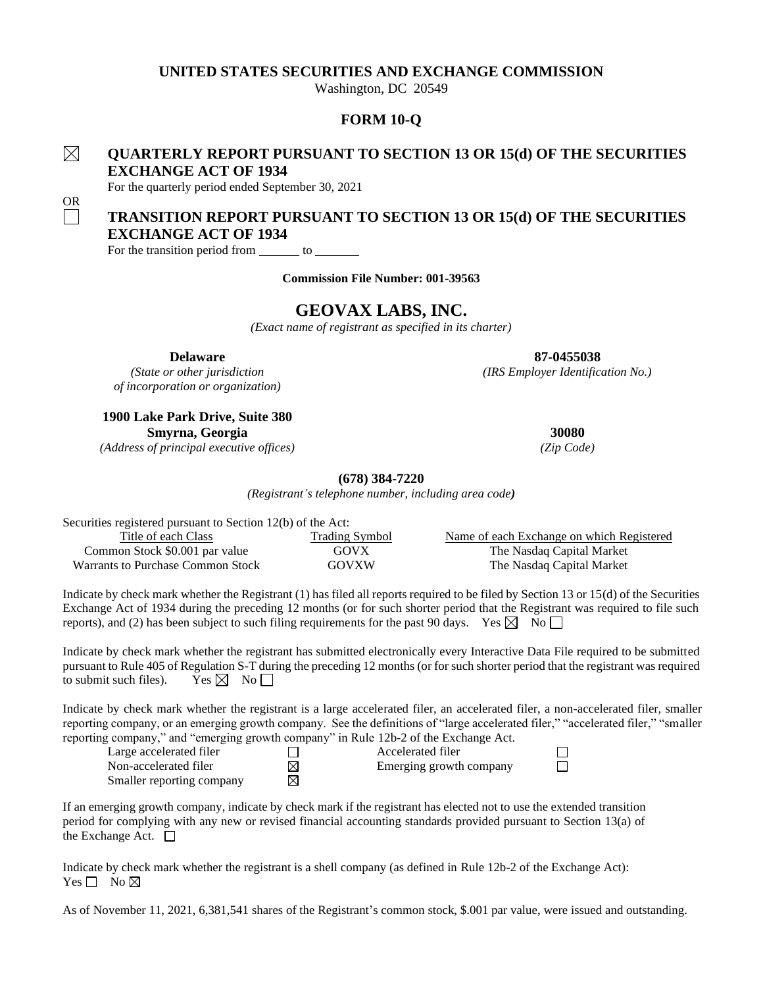## **UNITED STATES SECURITIES AND EXCHANGE COMMISSION**

Washington, DC 20549

# **FORM 10-Q**

# **QUARTERLY REPORT PURSUANT TO SECTION 13 OR 15(d) OF THE SECURITIES EXCHANGE ACT OF 1934**

For the quarterly period ended September 30, 2021

# **TRANSITION REPORT PURSUANT TO SECTION 13 OR 15(d) OF THE SECURITIES EXCHANGE ACT OF 1934**

For the transition period from  $\qquad$  to  $\qquad$ 

**Commission File Number: 001-39563**

# **GEOVAX LABS, INC.**

*(Exact name of registrant as specified in its charter)*

**Delaware 87-0455038**

*(State or other jurisdiction (IRS Employer Identification No.) of incorporation or organization)*

**1900 Lake Park Drive, Suite 380 Smyrna, Georgia 30080**

*(Address of principal executive offices) (Zip Code)*

### **(678) 384-7220**

*(Registrant's telephone number, including area code)*

Securities registered pursuant to Section 12(b) of the Act: Title of each Class Trading Symbol Name of each Exchange on which Registered Common Stock \$0.001 par value GOVX The Nasdaq Capital Market Warrants to Purchase Common Stock GOVXW The Nasdaq Capital Market

Indicate by check mark whether the Registrant (1) has filed all reports required to be filed by Section 13 or 15(d) of the Securities Exchange Act of 1934 during the preceding 12 months (or for such shorter period that the Registrant was required to file such reports), and (2) has been subject to such filing requirements for the past 90 days. Yes  $\boxtimes$  No  $\Box$ 

Indicate by check mark whether the registrant has submitted electronically every Interactive Data File required to be submitted pursuant to Rule 405 of Regulation S-T during the preceding 12 months (or for such shorter period that the registrant was required to submit such files). Yes  $\boxtimes$  No  $\Box$ 

Indicate by check mark whether the registrant is a large accelerated filer, an accelerated filer, a non-accelerated filer, smaller reporting company, or an emerging growth company. See the definitions of "large accelerated filer," "accelerated filer," "smaller reporting company," and "emerging growth company" in Rule 12b-2 of the Exchange Act.

| Large accelerated filer   |   | Accelerated filer       |
|---------------------------|---|-------------------------|
| Non-accelerated filer     | ⊠ | Emerging growth company |
| Smaller reporting company |   |                         |

If an emerging growth company, indicate by check mark if the registrant has elected not to use the extended transition period for complying with any new or revised financial accounting standards provided pursuant to Section 13(a) of the Exchange Act.  $\Box$ 

Indicate by check mark whether the registrant is a shell company (as defined in Rule 12b-2 of the Exchange Act): Yes  $\Box$  No  $\boxtimes$ 

As of November 11, 2021, 6,381,541 shares of the Registrant's common stock, \$.001 par value, were issued and outstanding.

OR

 $\boxtimes$ 

 $\Box$  $\Box$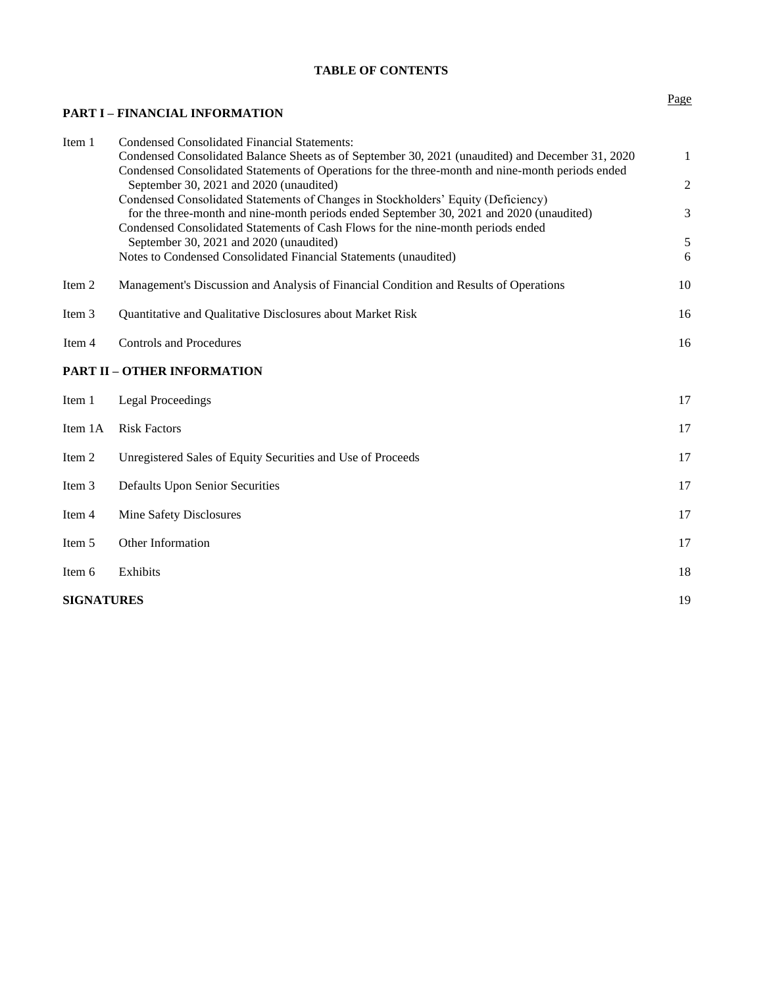# **TABLE OF CONTENTS**

# **PART I – FINANCIAL INFORMATION**

| Item 1            | <b>Condensed Consolidated Financial Statements:</b>                                                                                                                                                  |                |
|-------------------|------------------------------------------------------------------------------------------------------------------------------------------------------------------------------------------------------|----------------|
|                   | Condensed Consolidated Balance Sheets as of September 30, 2021 (unaudited) and December 31, 2020<br>Condensed Consolidated Statements of Operations for the three-month and nine-month periods ended | $\mathbf{1}$   |
|                   | September 30, 2021 and 2020 (unaudited)                                                                                                                                                              | $\overline{c}$ |
|                   | Condensed Consolidated Statements of Changes in Stockholders' Equity (Deficiency)                                                                                                                    |                |
|                   | for the three-month and nine-month periods ended September 30, 2021 and 2020 (unaudited)<br>Condensed Consolidated Statements of Cash Flows for the nine-month periods ended                         | 3              |
|                   | September 30, 2021 and 2020 (unaudited)                                                                                                                                                              | 5              |
|                   | Notes to Condensed Consolidated Financial Statements (unaudited)                                                                                                                                     | 6              |
| Item 2            | Management's Discussion and Analysis of Financial Condition and Results of Operations                                                                                                                | 10             |
| Item 3            | Quantitative and Qualitative Disclosures about Market Risk                                                                                                                                           | 16             |
| Item 4            | <b>Controls and Procedures</b>                                                                                                                                                                       | 16             |
|                   | <b>PART II - OTHER INFORMATION</b>                                                                                                                                                                   |                |
| Item 1            | <b>Legal Proceedings</b>                                                                                                                                                                             | 17             |
| Item 1A           | <b>Risk Factors</b>                                                                                                                                                                                  | 17             |
| Item 2            | Unregistered Sales of Equity Securities and Use of Proceeds                                                                                                                                          | 17             |
| Item 3            | <b>Defaults Upon Senior Securities</b>                                                                                                                                                               | 17             |
| Item 4            | Mine Safety Disclosures                                                                                                                                                                              | 17             |
| Item 5            | Other Information                                                                                                                                                                                    | 17             |
| Item 6            | Exhibits                                                                                                                                                                                             | 18             |
| <b>SIGNATURES</b> |                                                                                                                                                                                                      | 19             |

## Page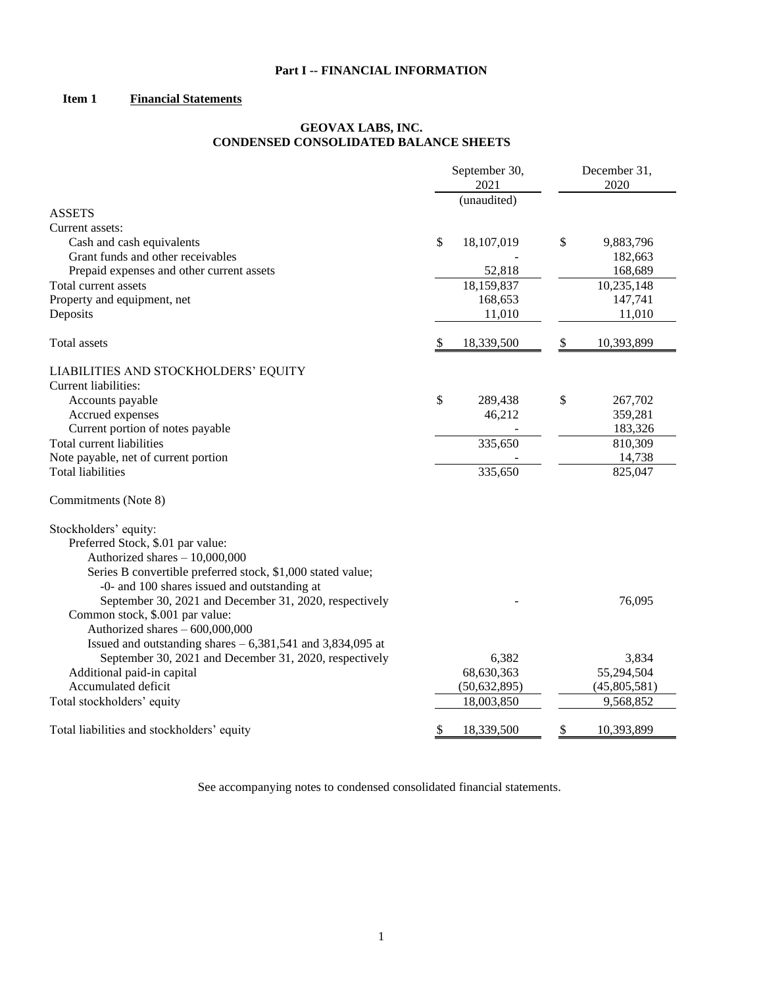# **Part I -- FINANCIAL INFORMATION**

# **Item 1 Financial Statements**

#### **GEOVAX LABS, INC. CONDENSED CONSOLIDATED BALANCE SHEETS**

|                                                             | September 30,<br>2021 | December 31,<br>2020 |
|-------------------------------------------------------------|-----------------------|----------------------|
|                                                             | (unaudited)           |                      |
| <b>ASSETS</b>                                               |                       |                      |
| Current assets:                                             |                       |                      |
| Cash and cash equivalents                                   | \$<br>18,107,019      | \$<br>9,883,796      |
| Grant funds and other receivables                           |                       | 182,663              |
| Prepaid expenses and other current assets                   | 52,818                | 168,689              |
| Total current assets                                        | 18,159,837            | 10,235,148           |
| Property and equipment, net                                 | 168,653               | 147,741              |
| Deposits                                                    | 11,010                | 11,010               |
| Total assets                                                | \$<br>18,339,500      | \$<br>10,393,899     |
| LIABILITIES AND STOCKHOLDERS' EQUITY                        |                       |                      |
| Current liabilities:                                        |                       |                      |
| Accounts payable                                            | \$<br>289,438         | \$<br>267,702        |
| Accrued expenses                                            | 46,212                | 359,281              |
| Current portion of notes payable                            |                       | 183,326              |
| Total current liabilities                                   | 335,650               | 810,309              |
| Note payable, net of current portion                        |                       | 14,738               |
| <b>Total liabilities</b>                                    | 335,650               | 825,047              |
| Commitments (Note 8)                                        |                       |                      |
| Stockholders' equity:                                       |                       |                      |
| Preferred Stock, \$.01 par value:                           |                       |                      |
| Authorized shares - 10,000,000                              |                       |                      |
| Series B convertible preferred stock, \$1,000 stated value; |                       |                      |
| -0- and 100 shares issued and outstanding at                |                       |                      |
| September 30, 2021 and December 31, 2020, respectively      |                       | 76,095               |
| Common stock, \$.001 par value:                             |                       |                      |
| Authorized shares - 600,000,000                             |                       |                      |
| Issued and outstanding shares $-6,381,541$ and 3,834,095 at |                       |                      |
| September 30, 2021 and December 31, 2020, respectively      | 6,382                 | 3,834                |
| Additional paid-in capital                                  | 68,630,363            | 55,294,504           |
| Accumulated deficit                                         | (50, 632, 895)        | (45,805,581)         |
| Total stockholders' equity                                  | 18,003,850            | 9,568,852            |
| Total liabilities and stockholders' equity                  | \$<br>18,339,500      | \$<br>10,393,899     |

See accompanying notes to condensed consolidated financial statements.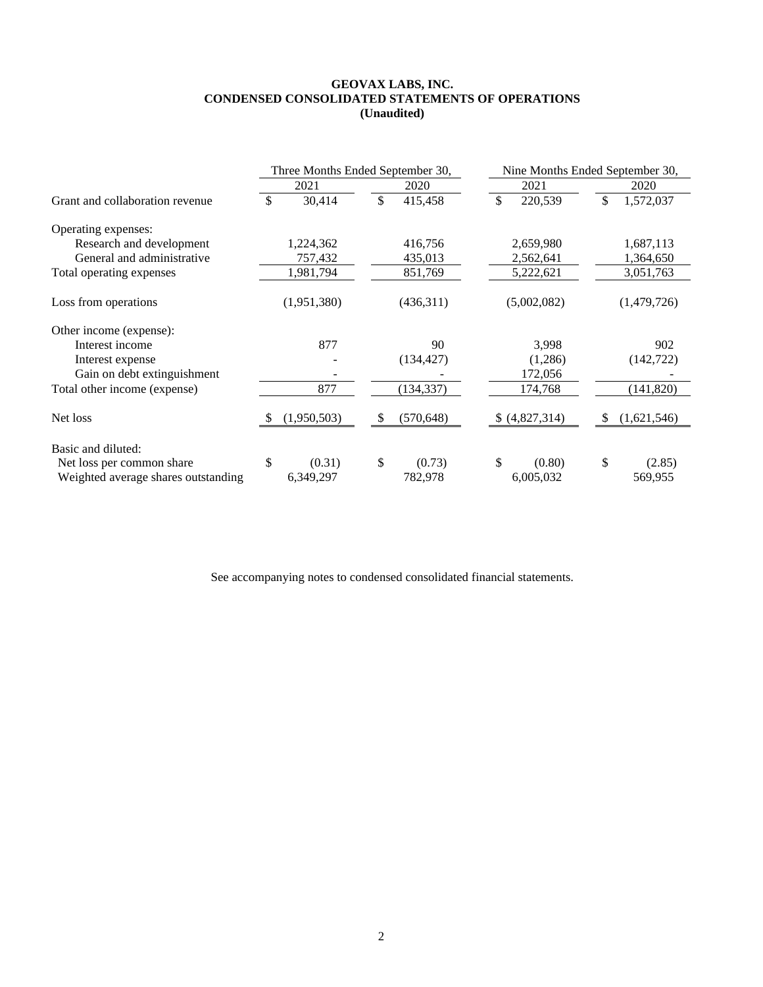#### **GEOVAX LABS, INC. CONDENSED CONSOLIDATED STATEMENTS OF OPERATIONS (Unaudited)**

|                                     | Three Months Ended September 30, |             |    |            |    | Nine Months Ended September 30, |     |             |  |  |
|-------------------------------------|----------------------------------|-------------|----|------------|----|---------------------------------|-----|-------------|--|--|
|                                     |                                  | 2021        |    | 2020       |    | 2021                            |     | 2020        |  |  |
| Grant and collaboration revenue     | \$                               | 30,414      | \$ | 415,458    | \$ | 220,539                         | \$  | 1,572,037   |  |  |
| Operating expenses:                 |                                  |             |    |            |    |                                 |     |             |  |  |
| Research and development            |                                  | 1,224,362   |    | 416,756    |    | 2,659,980                       |     | 1,687,113   |  |  |
| General and administrative          |                                  | 757,432     |    | 435,013    |    | 2,562,641                       |     | 1,364,650   |  |  |
| Total operating expenses            |                                  | 1,981,794   |    | 851,769    |    | 5,222,621                       |     | 3,051,763   |  |  |
| Loss from operations                |                                  | (1,951,380) |    | (436,311)  |    | (5,002,082)                     |     | (1,479,726) |  |  |
| Other income (expense):             |                                  |             |    |            |    |                                 |     |             |  |  |
| Interest income                     |                                  | 877         |    | 90         |    | 3,998                           |     | 902         |  |  |
| Interest expense                    |                                  |             |    | (134, 427) |    | (1,286)                         |     | (142, 722)  |  |  |
| Gain on debt extinguishment         |                                  |             |    |            |    | 172,056                         |     |             |  |  |
| Total other income (expense)        |                                  | 877         |    | (134, 337) |    | 174,768                         |     | (141, 820)  |  |  |
| Net loss                            | S                                | (1,950,503) | \$ | (570, 648) |    | \$ (4,827,314)                  | \$. | (1,621,546) |  |  |
| Basic and diluted:                  |                                  |             |    |            |    |                                 |     |             |  |  |
| Net loss per common share           | \$                               | (0.31)      | \$ | (0.73)     | \$ | (0.80)                          | \$  | (2.85)      |  |  |
| Weighted average shares outstanding |                                  | 6,349,297   |    | 782,978    |    | 6,005,032                       |     | 569,955     |  |  |

See accompanying notes to condensed consolidated financial statements.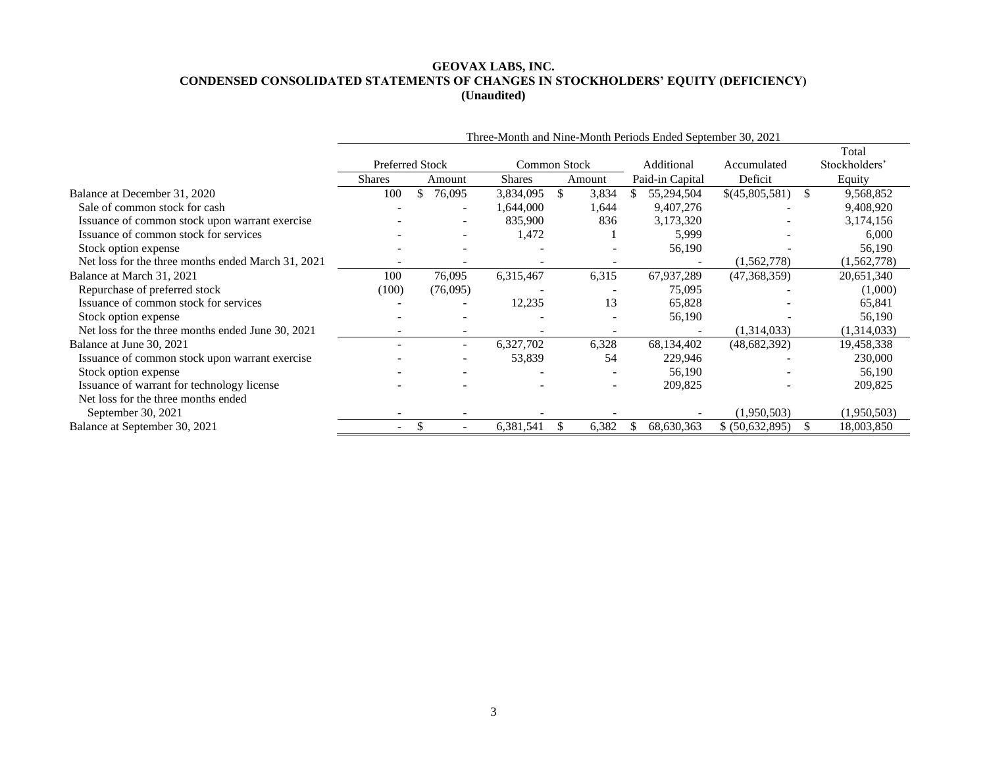### **GEOVAX LABS, INC. CONDENSED CONSOLIDATED STATEMENTS OF CHANGES IN STOCKHOLDERS' EQUITY (DEFICIENCY) (Unaudited)**

|                                                    | Three-Month and Nine-Month Periods Ended September 30, 2021 |    |                          |           |               |                          |                   |                 |               |               |  |
|----------------------------------------------------|-------------------------------------------------------------|----|--------------------------|-----------|---------------|--------------------------|-------------------|-----------------|---------------|---------------|--|
|                                                    |                                                             |    |                          |           |               |                          |                   |                 |               | Total         |  |
|                                                    | <b>Preferred Stock</b><br>Common Stock                      |    |                          |           |               | Additional               | Accumulated       |                 | Stockholders' |               |  |
|                                                    | Shares                                                      |    | Amount                   | Shares    |               | Amount                   | Paid-in Capital   | Deficit         |               | Equity        |  |
| Balance at December 31, 2020                       | 100                                                         | \$ | 76,095                   | 3,834,095 | <sup>\$</sup> | 3,834                    | 55,294,504<br>\$. | \$(45,805,581)  | -S            | 9,568,852     |  |
| Sale of common stock for cash                      |                                                             |    |                          | .644,000  |               | 1,644                    | 9,407,276         |                 |               | 9,408,920     |  |
| Issuance of common stock upon warrant exercise     |                                                             |    |                          | 835,900   |               | 836                      | 3,173,320         |                 |               | 3,174,156     |  |
| Issuance of common stock for services              |                                                             |    |                          | 1,472     |               |                          | 5,999             |                 |               | 6,000         |  |
| Stock option expense                               |                                                             |    |                          |           |               |                          | 56,190            |                 |               | 56,190        |  |
| Net loss for the three months ended March 31, 2021 |                                                             |    |                          |           |               |                          |                   | (1,562,778)     |               | (1, 562, 778) |  |
| Balance at March 31, 2021                          | 100                                                         |    | 76,095                   | 6,315,467 |               | 6,315                    | 67,937,289        | (47,368,359)    |               | 20,651,340    |  |
| Repurchase of preferred stock                      | (100)                                                       |    | (76,095)                 |           |               |                          | 75,095            |                 |               | (1,000)       |  |
| Issuance of common stock for services              |                                                             |    |                          | 12,235    |               | 13                       | 65,828            |                 |               | 65,841        |  |
| Stock option expense                               |                                                             |    |                          |           |               |                          | 56,190            |                 |               | 56,190        |  |
| Net loss for the three months ended June 30, 2021  |                                                             |    |                          |           |               |                          |                   | (1,314,033)     |               | (1,314,033)   |  |
| Balance at June 30, 2021                           |                                                             |    | $\overline{\phantom{0}}$ | 6,327,702 |               | 6,328                    | 68,134,402        | (48,682,392)    |               | 19,458,338    |  |
| Issuance of common stock upon warrant exercise     |                                                             |    |                          | 53,839    |               | 54                       | 229,946           |                 |               | 230,000       |  |
| Stock option expense                               |                                                             |    |                          |           |               |                          | 56,190            |                 |               | 56,190        |  |
| Issuance of warrant for technology license         |                                                             |    |                          |           |               | $\overline{\phantom{a}}$ | 209,825           |                 |               | 209,825       |  |
| Net loss for the three months ended                |                                                             |    |                          |           |               |                          |                   |                 |               |               |  |
| September 30, 2021                                 |                                                             |    |                          |           |               |                          |                   | (1,950,503)     |               | (1,950,503)   |  |
| Balance at September 30, 2021                      |                                                             |    |                          | 6,381,541 |               | 6,382                    | 68,630,363        | \$ (50,632,895) |               | 18,003,850    |  |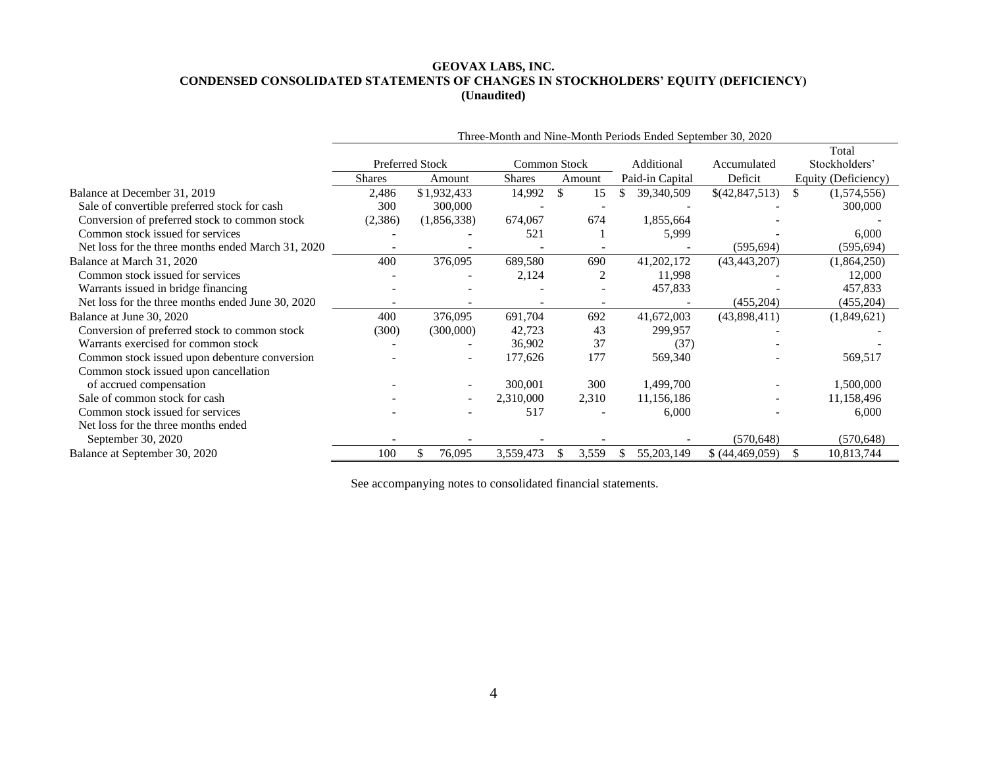### **GEOVAX LABS, INC. CONDENSED CONSOLIDATED STATEMENTS OF CHANGES IN STOCKHOLDERS' EQUITY (DEFICIENCY) (Unaudited)**

|                                                    | Three-Month and Nine-Month Periods Ended September 30, 2020 |                          |               |              |                 |                 |                     |  |  |  |
|----------------------------------------------------|-------------------------------------------------------------|--------------------------|---------------|--------------|-----------------|-----------------|---------------------|--|--|--|
|                                                    |                                                             |                          |               |              |                 |                 | Total               |  |  |  |
|                                                    |                                                             | Preferred Stock          |               | Common Stock | Additional      | Accumulated     | Stockholders'       |  |  |  |
|                                                    | <b>Shares</b>                                               | Amount                   | <b>Shares</b> | Amount       | Paid-in Capital | Deficit         | Equity (Deficiency) |  |  |  |
| Balance at December 31, 2019                       | 2,486                                                       | \$1,932,433              | 14,992        | \$<br>15     | 39,340,509      | \$(42,847,513)  | \$<br>(1,574,556)   |  |  |  |
| Sale of convertible preferred stock for cash       | 300                                                         | 300,000                  |               |              |                 |                 | 300,000             |  |  |  |
| Conversion of preferred stock to common stock      | (2,386)                                                     | (1,856,338)              | 674,067       | 674          | 1,855,664       |                 |                     |  |  |  |
| Common stock issued for services                   |                                                             |                          | 521           |              | 5,999           |                 | 6,000               |  |  |  |
| Net loss for the three months ended March 31, 2020 |                                                             |                          |               |              |                 | (595, 694)      | (595, 694)          |  |  |  |
| Balance at March 31, 2020                          | 400                                                         | 376,095                  | 689,580       | 690          | 41,202,172      | (43, 443, 207)  | (1,864,250)         |  |  |  |
| Common stock issued for services                   |                                                             |                          | 2,124         | 2            | 11,998          |                 | 12,000              |  |  |  |
| Warrants issued in bridge financing                |                                                             |                          |               |              | 457,833         |                 | 457,833             |  |  |  |
| Net loss for the three months ended June 30, 2020  |                                                             |                          |               |              |                 | (455, 204)      | (455,204)           |  |  |  |
| Balance at June 30, 2020                           | 400                                                         | 376,095                  | 691,704       | 692          | 41,672,003      | (43,898,411)    | (1,849,621)         |  |  |  |
| Conversion of preferred stock to common stock      | (300)                                                       | (300,000)                | 42,723        | 43           | 299,957         |                 |                     |  |  |  |
| Warrants exercised for common stock                |                                                             |                          | 36,902        | 37           | (37)            |                 |                     |  |  |  |
| Common stock issued upon debenture conversion      |                                                             | $\overline{\phantom{a}}$ | 177,626       | 177          | 569,340         |                 | 569,517             |  |  |  |
| Common stock issued upon cancellation              |                                                             |                          |               |              |                 |                 |                     |  |  |  |
| of accrued compensation                            |                                                             |                          | 300,001       | 300          | 1,499,700       |                 | 1,500,000           |  |  |  |
| Sale of common stock for cash                      |                                                             | $\overline{\phantom{a}}$ | 2,310,000     | 2,310        | 11,156,186      |                 | 11,158,496          |  |  |  |
| Common stock issued for services                   |                                                             |                          | 517           |              | 6,000           |                 | 6,000               |  |  |  |
| Net loss for the three months ended                |                                                             |                          |               |              |                 |                 |                     |  |  |  |
| September 30, 2020                                 |                                                             |                          |               |              |                 | (570, 648)      | (570, 648)          |  |  |  |
| Balance at September 30, 2020                      | 100                                                         | 76,095                   | 3,559,473     | 3,559        | 55,203,149      | \$ (44,469,059) | 10,813,744<br>-S    |  |  |  |

See accompanying notes to consolidated financial statements.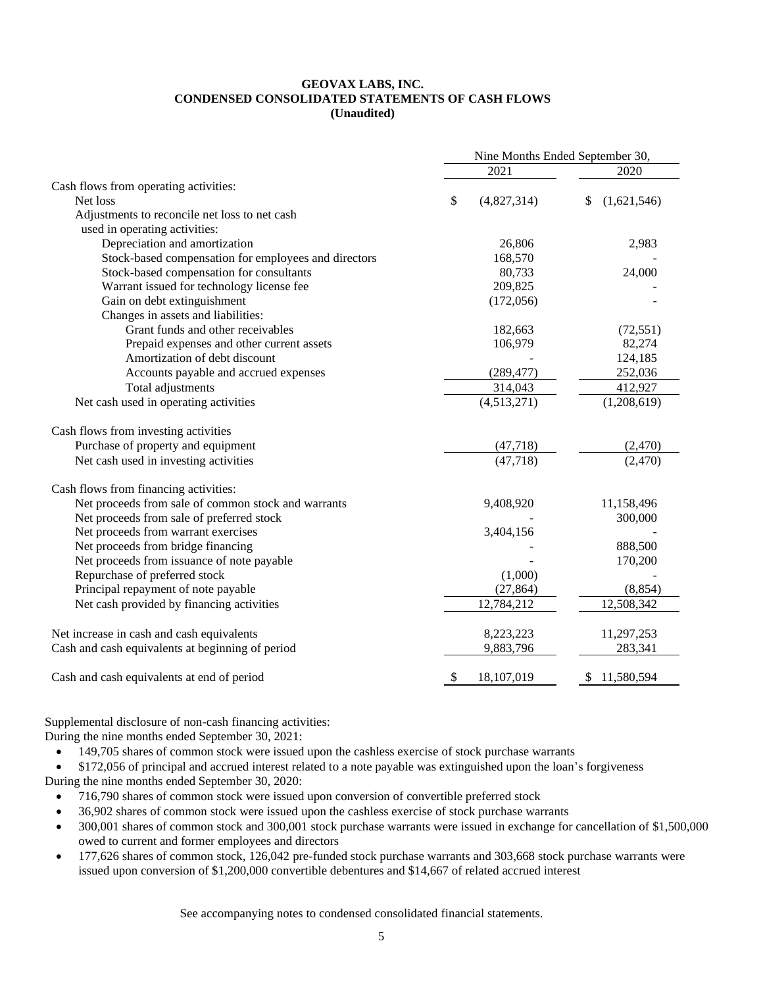#### **GEOVAX LABS, INC. CONDENSED CONSOLIDATED STATEMENTS OF CASH FLOWS (Unaudited)**

|                                                      | Nine Months Ended September 30, |             |                   |  |  |
|------------------------------------------------------|---------------------------------|-------------|-------------------|--|--|
|                                                      |                                 | 2021        | 2020              |  |  |
| Cash flows from operating activities:                |                                 |             |                   |  |  |
| Net loss                                             | \$                              | (4,827,314) | (1,621,546)<br>\$ |  |  |
| Adjustments to reconcile net loss to net cash        |                                 |             |                   |  |  |
| used in operating activities:                        |                                 |             |                   |  |  |
| Depreciation and amortization                        |                                 | 26,806      | 2,983             |  |  |
| Stock-based compensation for employees and directors |                                 | 168,570     |                   |  |  |
| Stock-based compensation for consultants             |                                 | 80,733      | 24,000            |  |  |
| Warrant issued for technology license fee            |                                 | 209,825     |                   |  |  |
| Gain on debt extinguishment                          |                                 | (172, 056)  |                   |  |  |
| Changes in assets and liabilities:                   |                                 |             |                   |  |  |
| Grant funds and other receivables                    |                                 | 182,663     | (72, 551)         |  |  |
| Prepaid expenses and other current assets            |                                 | 106,979     | 82,274            |  |  |
| Amortization of debt discount                        |                                 |             | 124,185           |  |  |
| Accounts payable and accrued expenses                |                                 | (289, 477)  | 252,036           |  |  |
| Total adjustments                                    |                                 | 314,043     | 412,927           |  |  |
| Net cash used in operating activities                |                                 | (4,513,271) | (1,208,619)       |  |  |
| Cash flows from investing activities                 |                                 |             |                   |  |  |
| Purchase of property and equipment                   |                                 | (47, 718)   | (2,470)           |  |  |
| Net cash used in investing activities                |                                 | (47,718)    | (2,470)           |  |  |
| Cash flows from financing activities:                |                                 |             |                   |  |  |
| Net proceeds from sale of common stock and warrants  |                                 | 9,408,920   | 11,158,496        |  |  |
| Net proceeds from sale of preferred stock            |                                 |             | 300,000           |  |  |
| Net proceeds from warrant exercises                  |                                 | 3,404,156   |                   |  |  |
| Net proceeds from bridge financing                   |                                 |             | 888,500           |  |  |
| Net proceeds from issuance of note payable           |                                 |             | 170,200           |  |  |
| Repurchase of preferred stock                        |                                 | (1,000)     |                   |  |  |
| Principal repayment of note payable                  |                                 | (27, 864)   | (8, 854)          |  |  |
| Net cash provided by financing activities            |                                 | 12,784,212  | 12,508,342        |  |  |
| Net increase in cash and cash equivalents            |                                 | 8,223,223   | 11,297,253        |  |  |
| Cash and cash equivalents at beginning of period     |                                 | 9,883,796   | 283,341           |  |  |
| Cash and cash equivalents at end of period           | \$                              | 18,107,019  | 11,580,594<br>\$  |  |  |

Supplemental disclosure of non-cash financing activities: During the nine months ended September 30, 2021:

• 149,705 shares of common stock were issued upon the cashless exercise of stock purchase warrants

• \$172,056 of principal and accrued interest related to a note payable was extinguished upon the loan's forgiveness During the nine months ended September 30, 2020:

- 716,790 shares of common stock were issued upon conversion of convertible preferred stock
- 36,902 shares of common stock were issued upon the cashless exercise of stock purchase warrants
- 300,001 shares of common stock and 300,001 stock purchase warrants were issued in exchange for cancellation of \$1,500,000 owed to current and former employees and directors
- 177,626 shares of common stock, 126,042 pre-funded stock purchase warrants and 303,668 stock purchase warrants were issued upon conversion of \$1,200,000 convertible debentures and \$14,667 of related accrued interest

See accompanying notes to condensed consolidated financial statements.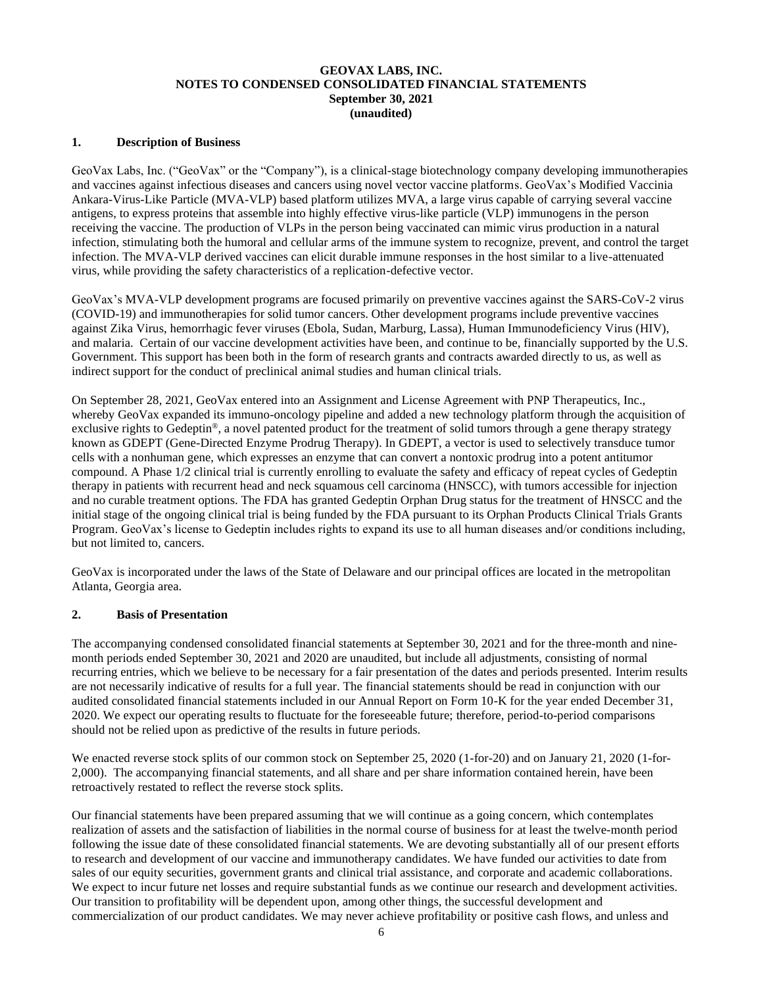### **GEOVAX LABS, INC. NOTES TO CONDENSED CONSOLIDATED FINANCIAL STATEMENTS September 30, 2021 (unaudited)**

#### **1. Description of Business**

GeoVax Labs, Inc. ("GeoVax" or the "Company"), is a clinical-stage biotechnology company developing immunotherapies and vaccines against infectious diseases and cancers using novel vector vaccine platforms. GeoVax's Modified Vaccinia Ankara-Virus-Like Particle (MVA-VLP) based platform utilizes MVA, a large virus capable of carrying several vaccine antigens, to express proteins that assemble into highly effective virus-like particle (VLP) immunogens in the person receiving the vaccine. The production of VLPs in the person being vaccinated can mimic virus production in a natural infection, stimulating both the humoral and cellular arms of the immune system to recognize, prevent, and control the target infection. The MVA-VLP derived vaccines can elicit durable immune responses in the host similar to a live-attenuated virus, while providing the safety characteristics of a replication-defective vector.

GeoVax's MVA-VLP development programs are focused primarily on preventive vaccines against the SARS-CoV-2 virus (COVID-19) and immunotherapies for solid tumor cancers. Other development programs include preventive vaccines against Zika Virus, hemorrhagic fever viruses (Ebola, Sudan, Marburg, Lassa), Human Immunodeficiency Virus (HIV), and malaria. Certain of our vaccine development activities have been, and continue to be, financially supported by the U.S. Government. This support has been both in the form of research grants and contracts awarded directly to us, as well as indirect support for the conduct of preclinical animal studies and human clinical trials.

On September 28, 2021, GeoVax entered into an Assignment and License Agreement with PNP Therapeutics, Inc., whereby GeoVax expanded its immuno-oncology pipeline and added a new technology platform through the acquisition of exclusive rights to Gedeptin®, a novel patented product for the treatment of solid tumors through a gene therapy strategy known as GDEPT (Gene-Directed Enzyme Prodrug Therapy). In GDEPT, a vector is used to selectively transduce tumor cells with a nonhuman gene, which expresses an enzyme that can convert a nontoxic prodrug into a potent antitumor compound. A Phase 1/2 clinical trial is currently enrolling to evaluate the safety and efficacy of repeat cycles of Gedeptin therapy in patients with recurrent head and neck squamous cell carcinoma (HNSCC), with tumors accessible for injection and no curable treatment options. The FDA has granted Gedeptin Orphan Drug status for the treatment of HNSCC and the initial stage of the ongoing clinical trial is being funded by the FDA pursuant to its Orphan Products Clinical Trials Grants Program. GeoVax's license to Gedeptin includes rights to expand its use to all human diseases and/or conditions including, but not limited to, cancers.

GeoVax is incorporated under the laws of the State of Delaware and our principal offices are located in the metropolitan Atlanta, Georgia area.

#### **2. Basis of Presentation**

The accompanying condensed consolidated financial statements at September 30, 2021 and for the three-month and ninemonth periods ended September 30, 2021 and 2020 are unaudited, but include all adjustments, consisting of normal recurring entries, which we believe to be necessary for a fair presentation of the dates and periods presented. Interim results are not necessarily indicative of results for a full year. The financial statements should be read in conjunction with our audited consolidated financial statements included in our Annual Report on Form 10-K for the year ended December 31, 2020. We expect our operating results to fluctuate for the foreseeable future; therefore, period-to-period comparisons should not be relied upon as predictive of the results in future periods.

We enacted reverse stock splits of our common stock on September 25, 2020 (1-for-20) and on January 21, 2020 (1-for-2,000). The accompanying financial statements, and all share and per share information contained herein, have been retroactively restated to reflect the reverse stock splits.

Our financial statements have been prepared assuming that we will continue as a going concern, which contemplates realization of assets and the satisfaction of liabilities in the normal course of business for at least the twelve-month period following the issue date of these consolidated financial statements. We are devoting substantially all of our present efforts to research and development of our vaccine and immunotherapy candidates. We have funded our activities to date from sales of our equity securities, government grants and clinical trial assistance, and corporate and academic collaborations. We expect to incur future net losses and require substantial funds as we continue our research and development activities. Our transition to profitability will be dependent upon, among other things, the successful development and commercialization of our product candidates. We may never achieve profitability or positive cash flows, and unless and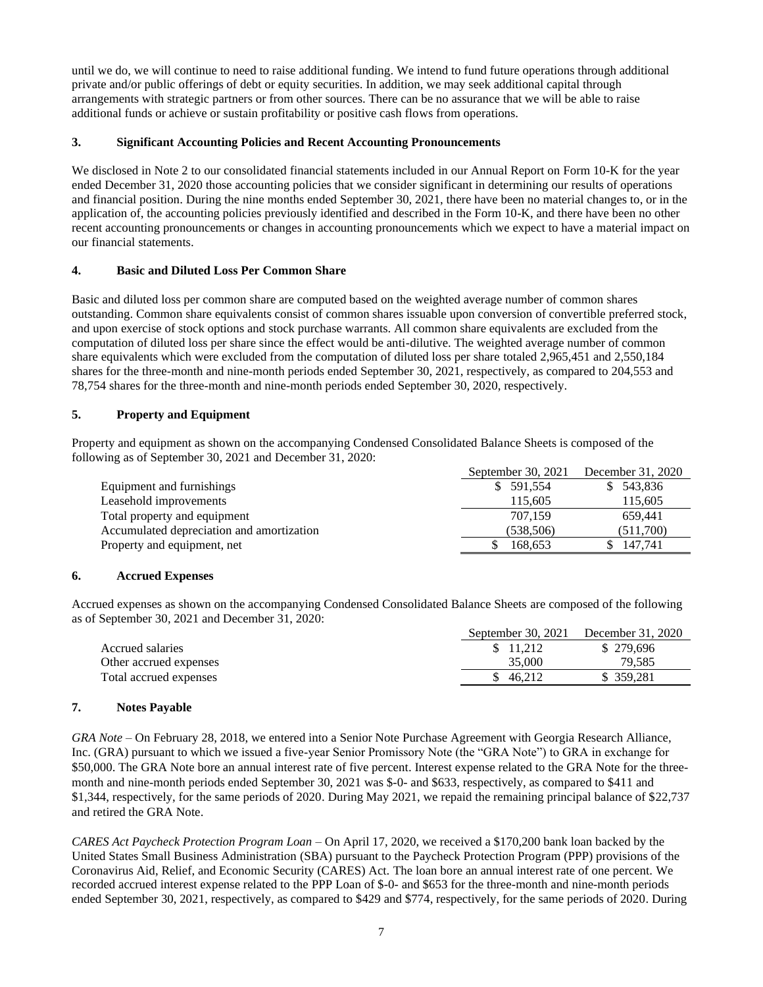until we do, we will continue to need to raise additional funding. We intend to fund future operations through additional private and/or public offerings of debt or equity securities. In addition, we may seek additional capital through arrangements with strategic partners or from other sources. There can be no assurance that we will be able to raise additional funds or achieve or sustain profitability or positive cash flows from operations.

### **3. Significant Accounting Policies and Recent Accounting Pronouncements**

We disclosed in Note 2 to our consolidated financial statements included in our Annual Report on Form 10-K for the year ended December 31, 2020 those accounting policies that we consider significant in determining our results of operations and financial position. During the nine months ended September 30, 2021, there have been no material changes to, or in the application of, the accounting policies previously identified and described in the Form 10-K, and there have been no other recent accounting pronouncements or changes in accounting pronouncements which we expect to have a material impact on our financial statements.

## **4. Basic and Diluted Loss Per Common Share**

Basic and diluted loss per common share are computed based on the weighted average number of common shares outstanding. Common share equivalents consist of common shares issuable upon conversion of convertible preferred stock, and upon exercise of stock options and stock purchase warrants. All common share equivalents are excluded from the computation of diluted loss per share since the effect would be anti-dilutive. The weighted average number of common share equivalents which were excluded from the computation of diluted loss per share totaled 2,965,451 and 2,550,184 shares for the three-month and nine-month periods ended September 30, 2021, respectively, as compared to 204,553 and 78,754 shares for the three-month and nine-month periods ended September 30, 2020, respectively.

## **5. Property and Equipment**

Property and equipment as shown on the accompanying Condensed Consolidated Balance Sheets is composed of the following as of September 30, 2021 and December 31, 2020:

|                                           | September 30, 2021 | December 31, 2020 |
|-------------------------------------------|--------------------|-------------------|
| Equipment and furnishings                 | \$ 591,554         | \$543,836         |
| Leasehold improvements                    | 115,605            | 115,605           |
| Total property and equipment              | 707.159            | 659,441           |
| Accumulated depreciation and amortization | (538, 506)         | (511,700)         |
| Property and equipment, net               | 168.653            | 147.741           |

### **6. Accrued Expenses**

Accrued expenses as shown on the accompanying Condensed Consolidated Balance Sheets are composed of the following as of September 30, 2021 and December 31, 2020:

|                        | September 30, 2021 | December 31, 2020 |
|------------------------|--------------------|-------------------|
| Accrued salaries       | \$ 11.212          | \$279,696         |
| Other accrued expenses | 35,000             | 79.585            |
| Total accrued expenses | \$46.212           | \$ 359,281        |

### **7. Notes Payable**

*GRA Note* – On February 28, 2018, we entered into a Senior Note Purchase Agreement with Georgia Research Alliance, Inc. (GRA) pursuant to which we issued a five-year Senior Promissory Note (the "GRA Note") to GRA in exchange for \$50,000. The GRA Note bore an annual interest rate of five percent. Interest expense related to the GRA Note for the threemonth and nine-month periods ended September 30, 2021 was \$-0- and \$633, respectively, as compared to \$411 and \$1,344, respectively, for the same periods of 2020. During May 2021, we repaid the remaining principal balance of \$22,737 and retired the GRA Note.

*CARES Act Paycheck Protection Program Loan –* On April 17, 2020, we received a \$170,200 bank loan backed by the United States Small Business Administration (SBA) pursuant to the Paycheck Protection Program (PPP) provisions of the Coronavirus Aid, Relief, and Economic Security (CARES) Act. The loan bore an annual interest rate of one percent. We recorded accrued interest expense related to the PPP Loan of \$-0- and \$653 for the three-month and nine-month periods ended September 30, 2021, respectively, as compared to \$429 and \$774, respectively, for the same periods of 2020. During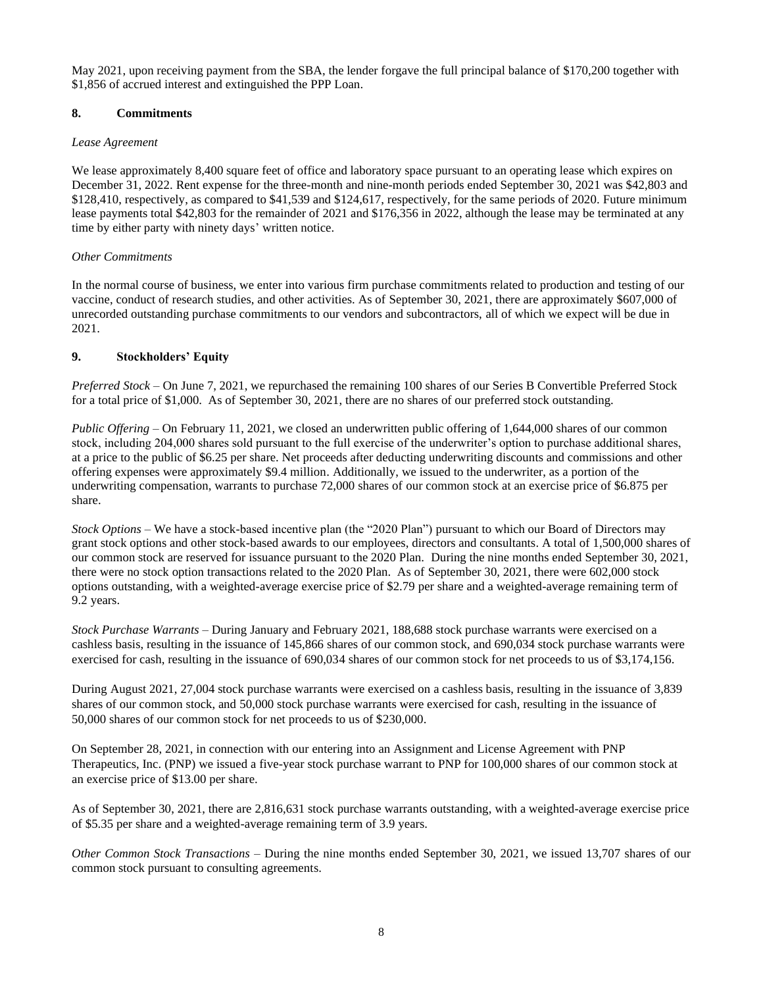May 2021, upon receiving payment from the SBA, the lender forgave the full principal balance of \$170,200 together with \$1,856 of accrued interest and extinguished the PPP Loan.

### **8. Commitments**

### *Lease Agreement*

We lease approximately 8,400 square feet of office and laboratory space pursuant to an operating lease which expires on December 31, 2022. Rent expense for the three-month and nine-month periods ended September 30, 2021 was \$42,803 and \$128,410, respectively, as compared to \$41,539 and \$124,617, respectively, for the same periods of 2020. Future minimum lease payments total \$42,803 for the remainder of 2021 and \$176,356 in 2022, although the lease may be terminated at any time by either party with ninety days' written notice.

### *Other Commitments*

In the normal course of business, we enter into various firm purchase commitments related to production and testing of our vaccine, conduct of research studies, and other activities. As of September 30, 2021, there are approximately \$607,000 of unrecorded outstanding purchase commitments to our vendors and subcontractors, all of which we expect will be due in 2021.

### **9. Stockholders' Equity**

*Preferred Stock –* On June 7, 2021, we repurchased the remaining 100 shares of our Series B Convertible Preferred Stock for a total price of \$1,000. As of September 30, 2021, there are no shares of our preferred stock outstanding.

*Public Offering –* On February 11, 2021, we closed an underwritten public offering of 1,644,000 shares of our common stock, including 204,000 shares sold pursuant to the full exercise of the underwriter's option to purchase additional shares, at a price to the public of \$6.25 per share. Net proceeds after deducting underwriting discounts and commissions and other offering expenses were approximately \$9.4 million. Additionally, we issued to the underwriter, as a portion of the underwriting compensation, warrants to purchase 72,000 shares of our common stock at an exercise price of \$6.875 per share.

*Stock Options –* We have a stock-based incentive plan (the "2020 Plan") pursuant to which our Board of Directors may grant stock options and other stock-based awards to our employees, directors and consultants. A total of 1,500,000 shares of our common stock are reserved for issuance pursuant to the 2020 Plan. During the nine months ended September 30, 2021, there were no stock option transactions related to the 2020 Plan. As of September 30, 2021, there were 602,000 stock options outstanding, with a weighted-average exercise price of \$2.79 per share and a weighted-average remaining term of 9.2 years.

*Stock Purchase Warrants –* During January and February 2021, 188,688 stock purchase warrants were exercised on a cashless basis, resulting in the issuance of 145,866 shares of our common stock, and 690,034 stock purchase warrants were exercised for cash, resulting in the issuance of 690,034 shares of our common stock for net proceeds to us of \$3,174,156.

During August 2021, 27,004 stock purchase warrants were exercised on a cashless basis, resulting in the issuance of 3,839 shares of our common stock, and 50,000 stock purchase warrants were exercised for cash, resulting in the issuance of 50,000 shares of our common stock for net proceeds to us of \$230,000.

On September 28, 2021, in connection with our entering into an Assignment and License Agreement with PNP Therapeutics, Inc. (PNP) we issued a five-year stock purchase warrant to PNP for 100,000 shares of our common stock at an exercise price of \$13.00 per share.

As of September 30, 2021, there are 2,816,631 stock purchase warrants outstanding, with a weighted-average exercise price of \$5.35 per share and a weighted-average remaining term of 3.9 years.

*Other Common Stock Transactions* – During the nine months ended September 30, 2021, we issued 13,707 shares of our common stock pursuant to consulting agreements.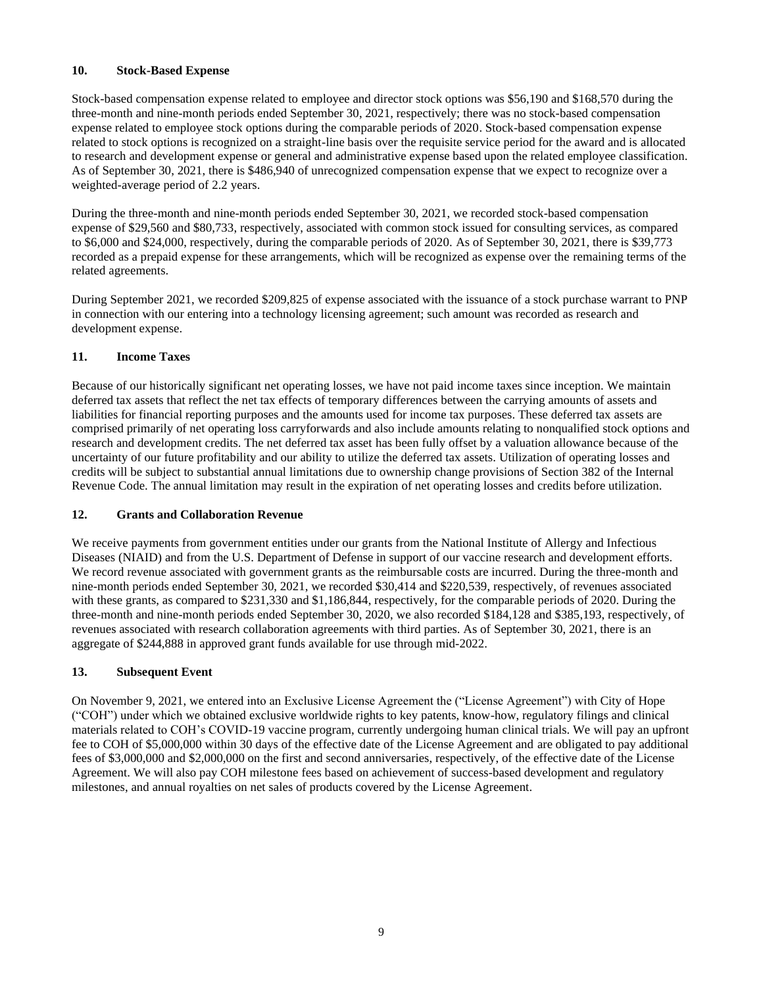### **10. Stock-Based Expense**

Stock-based compensation expense related to employee and director stock options was \$56,190 and \$168,570 during the three-month and nine-month periods ended September 30, 2021, respectively; there was no stock-based compensation expense related to employee stock options during the comparable periods of 2020. Stock-based compensation expense related to stock options is recognized on a straight-line basis over the requisite service period for the award and is allocated to research and development expense or general and administrative expense based upon the related employee classification. As of September 30, 2021, there is \$486,940 of unrecognized compensation expense that we expect to recognize over a weighted-average period of 2.2 years.

During the three-month and nine-month periods ended September 30, 2021, we recorded stock-based compensation expense of \$29,560 and \$80,733, respectively, associated with common stock issued for consulting services, as compared to \$6,000 and \$24,000, respectively, during the comparable periods of 2020. As of September 30, 2021, there is \$39,773 recorded as a prepaid expense for these arrangements, which will be recognized as expense over the remaining terms of the related agreements.

During September 2021, we recorded \$209,825 of expense associated with the issuance of a stock purchase warrant to PNP in connection with our entering into a technology licensing agreement; such amount was recorded as research and development expense.

## **11. Income Taxes**

Because of our historically significant net operating losses, we have not paid income taxes since inception. We maintain deferred tax assets that reflect the net tax effects of temporary differences between the carrying amounts of assets and liabilities for financial reporting purposes and the amounts used for income tax purposes. These deferred tax assets are comprised primarily of net operating loss carryforwards and also include amounts relating to nonqualified stock options and research and development credits. The net deferred tax asset has been fully offset by a valuation allowance because of the uncertainty of our future profitability and our ability to utilize the deferred tax assets. Utilization of operating losses and credits will be subject to substantial annual limitations due to ownership change provisions of Section 382 of the Internal Revenue Code. The annual limitation may result in the expiration of net operating losses and credits before utilization.

### **12. Grants and Collaboration Revenue**

We receive payments from government entities under our grants from the National Institute of Allergy and Infectious Diseases (NIAID) and from the U.S. Department of Defense in support of our vaccine research and development efforts. We record revenue associated with government grants as the reimbursable costs are incurred. During the three-month and nine-month periods ended September 30, 2021, we recorded \$30,414 and \$220,539, respectively, of revenues associated with these grants, as compared to \$231,330 and \$1,186,844, respectively, for the comparable periods of 2020. During the three-month and nine-month periods ended September 30, 2020, we also recorded \$184,128 and \$385,193, respectively, of revenues associated with research collaboration agreements with third parties. As of September 30, 2021, there is an aggregate of \$244,888 in approved grant funds available for use through mid-2022.

### **13. Subsequent Event**

On November 9, 2021, we entered into an Exclusive License Agreement the ("License Agreement") with City of Hope ("COH") under which we obtained exclusive worldwide rights to key patents, know-how, regulatory filings and clinical materials related to COH's COVID-19 vaccine program, currently undergoing human clinical trials. We will pay an upfront fee to COH of \$5,000,000 within 30 days of the effective date of the License Agreement and are obligated to pay additional fees of \$3,000,000 and \$2,000,000 on the first and second anniversaries, respectively, of the effective date of the License Agreement. We will also pay COH milestone fees based on achievement of success-based development and regulatory milestones, and annual royalties on net sales of products covered by the License Agreement.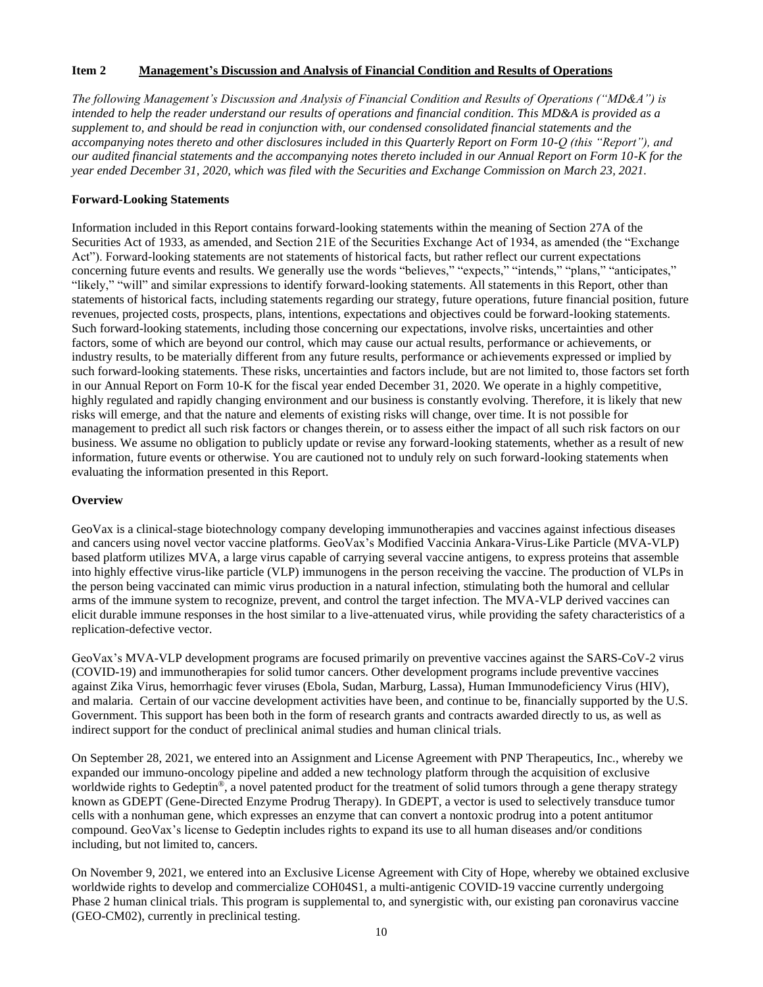### **Item 2 Management's Discussion and Analysis of Financial Condition and Results of Operations**

*The following Management's Discussion and Analysis of Financial Condition and Results of Operations ("MD&A") is intended to help the reader understand our results of operations and financial condition. This MD&A is provided as a supplement to, and should be read in conjunction with, our condensed consolidated financial statements and the accompanying notes thereto and other disclosures included in this Quarterly Report on Form 10-Q (this "Report"), and our audited financial statements and the accompanying notes thereto included in our Annual Report on Form 10-K for the year ended December 31, 2020, which was filed with the Securities and Exchange Commission on March 23, 2021.*

#### **Forward-Looking Statements**

Information included in this Report contains forward-looking statements within the meaning of Section 27A of the Securities Act of 1933, as amended, and Section 21E of the Securities Exchange Act of 1934, as amended (the "Exchange Act"). Forward-looking statements are not statements of historical facts, but rather reflect our current expectations concerning future events and results. We generally use the words "believes," "expects," "intends," "plans," "anticipates," "likely," "will" and similar expressions to identify forward-looking statements. All statements in this Report, other than statements of historical facts, including statements regarding our strategy, future operations, future financial position, future revenues, projected costs, prospects, plans, intentions, expectations and objectives could be forward-looking statements. Such forward-looking statements, including those concerning our expectations, involve risks, uncertainties and other factors, some of which are beyond our control, which may cause our actual results, performance or achievements, or industry results, to be materially different from any future results, performance or achievements expressed or implied by such forward-looking statements. These risks, uncertainties and factors include, but are not limited to, those factors set forth in our Annual Report on Form 10-K for the fiscal year ended December 31, 2020. We operate in a highly competitive, highly regulated and rapidly changing environment and our business is constantly evolving. Therefore, it is likely that new risks will emerge, and that the nature and elements of existing risks will change, over time. It is not possible for management to predict all such risk factors or changes therein, or to assess either the impact of all such risk factors on our business. We assume no obligation to publicly update or revise any forward-looking statements, whether as a result of new information, future events or otherwise. You are cautioned not to unduly rely on such forward-looking statements when evaluating the information presented in this Report.

#### **Overview**

GeoVax is a clinical-stage biotechnology company developing immunotherapies and vaccines against infectious diseases and cancers using novel vector vaccine platforms. GeoVax's Modified Vaccinia Ankara-Virus-Like Particle (MVA-VLP) based platform utilizes MVA, a large virus capable of carrying several vaccine antigens, to express proteins that assemble into highly effective virus-like particle (VLP) immunogens in the person receiving the vaccine. The production of VLPs in the person being vaccinated can mimic virus production in a natural infection, stimulating both the humoral and cellular arms of the immune system to recognize, prevent, and control the target infection. The MVA-VLP derived vaccines can elicit durable immune responses in the host similar to a live-attenuated virus, while providing the safety characteristics of a replication-defective vector.

GeoVax's MVA-VLP development programs are focused primarily on preventive vaccines against the SARS-CoV-2 virus (COVID-19) and immunotherapies for solid tumor cancers. Other development programs include preventive vaccines against Zika Virus, hemorrhagic fever viruses (Ebola, Sudan, Marburg, Lassa), Human Immunodeficiency Virus (HIV), and malaria. Certain of our vaccine development activities have been, and continue to be, financially supported by the U.S. Government. This support has been both in the form of research grants and contracts awarded directly to us, as well as indirect support for the conduct of preclinical animal studies and human clinical trials.

On September 28, 2021, we entered into an Assignment and License Agreement with PNP Therapeutics, Inc., whereby we expanded our immuno-oncology pipeline and added a new technology platform through the acquisition of exclusive worldwide rights to Gedeptin<sup>®</sup>, a novel patented product for the treatment of solid tumors through a gene therapy strategy known as GDEPT (Gene-Directed Enzyme Prodrug Therapy). In GDEPT, a vector is used to selectively transduce tumor cells with a nonhuman gene, which expresses an enzyme that can convert a nontoxic prodrug into a potent antitumor compound. GeoVax's license to Gedeptin includes rights to expand its use to all human diseases and/or conditions including, but not limited to, cancers.

On November 9, 2021, we entered into an Exclusive License Agreement with City of Hope, whereby we obtained exclusive worldwide rights to develop and commercialize COH04S1, a multi-antigenic COVID-19 vaccine currently undergoing Phase 2 human clinical trials. This program is supplemental to, and synergistic with, our existing pan coronavirus vaccine (GEO-CM02), currently in preclinical testing.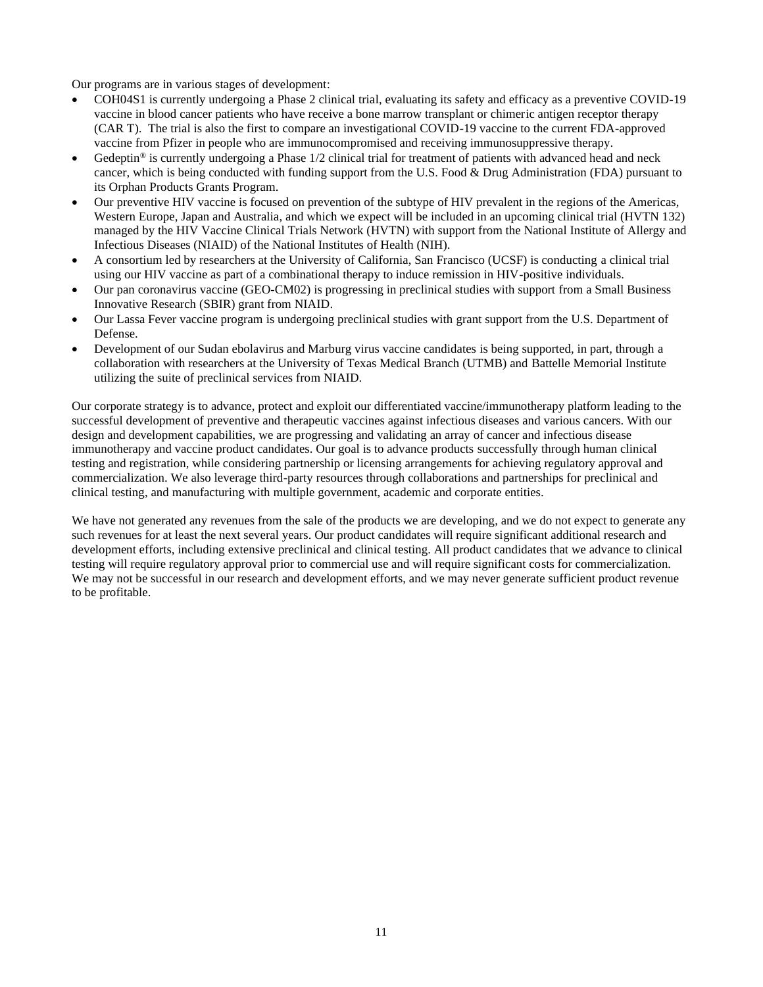Our programs are in various stages of development:

- COH04S1 is currently undergoing a Phase 2 clinical trial, evaluating its safety and efficacy as a preventive COVID-19 vaccine in blood cancer patients who have receive a bone marrow transplant or chimeric antigen receptor therapy (CAR T). The trial is also the first to compare an investigational COVID-19 vaccine to the current FDA-approved vaccine from Pfizer in people who are immunocompromised and receiving immunosuppressive therapy.
- Gedeptin<sup>®</sup> is currently undergoing a Phase  $1/2$  clinical trial for treatment of patients with advanced head and neck cancer, which is being conducted with funding support from the U.S. Food & Drug Administration (FDA) pursuant to its Orphan Products Grants Program.
- Our preventive HIV vaccine is focused on prevention of the subtype of HIV prevalent in the regions of the Americas, Western Europe, Japan and Australia, and which we expect will be included in an upcoming clinical trial (HVTN 132) managed by the HIV Vaccine Clinical Trials Network (HVTN) with support from the National Institute of Allergy and Infectious Diseases (NIAID) of the National Institutes of Health (NIH).
- A consortium led by researchers at the University of California, San Francisco (UCSF) is conducting a clinical trial using our HIV vaccine as part of a combinational therapy to induce remission in HIV-positive individuals.
- Our pan coronavirus vaccine (GEO-CM02) is progressing in preclinical studies with support from a Small Business Innovative Research (SBIR) grant from NIAID.
- Our Lassa Fever vaccine program is undergoing preclinical studies with grant support from the U.S. Department of Defense.
- Development of our Sudan ebolavirus and Marburg virus vaccine candidates is being supported, in part, through a collaboration with researchers at the University of Texas Medical Branch (UTMB) and Battelle Memorial Institute utilizing the suite of preclinical services from NIAID.

Our corporate strategy is to advance, protect and exploit our differentiated vaccine/immunotherapy platform leading to the successful development of preventive and therapeutic vaccines against infectious diseases and various cancers. With our design and development capabilities, we are progressing and validating an array of cancer and infectious disease immunotherapy and vaccine product candidates. Our goal is to advance products successfully through human clinical testing and registration, while considering partnership or licensing arrangements for achieving regulatory approval and commercialization. We also leverage third-party resources through collaborations and partnerships for preclinical and clinical testing, and manufacturing with multiple government, academic and corporate entities.

We have not generated any revenues from the sale of the products we are developing, and we do not expect to generate any such revenues for at least the next several years. Our product candidates will require significant additional research and development efforts, including extensive preclinical and clinical testing. All product candidates that we advance to clinical testing will require regulatory approval prior to commercial use and will require significant costs for commercialization. We may not be successful in our research and development efforts, and we may never generate sufficient product revenue to be profitable.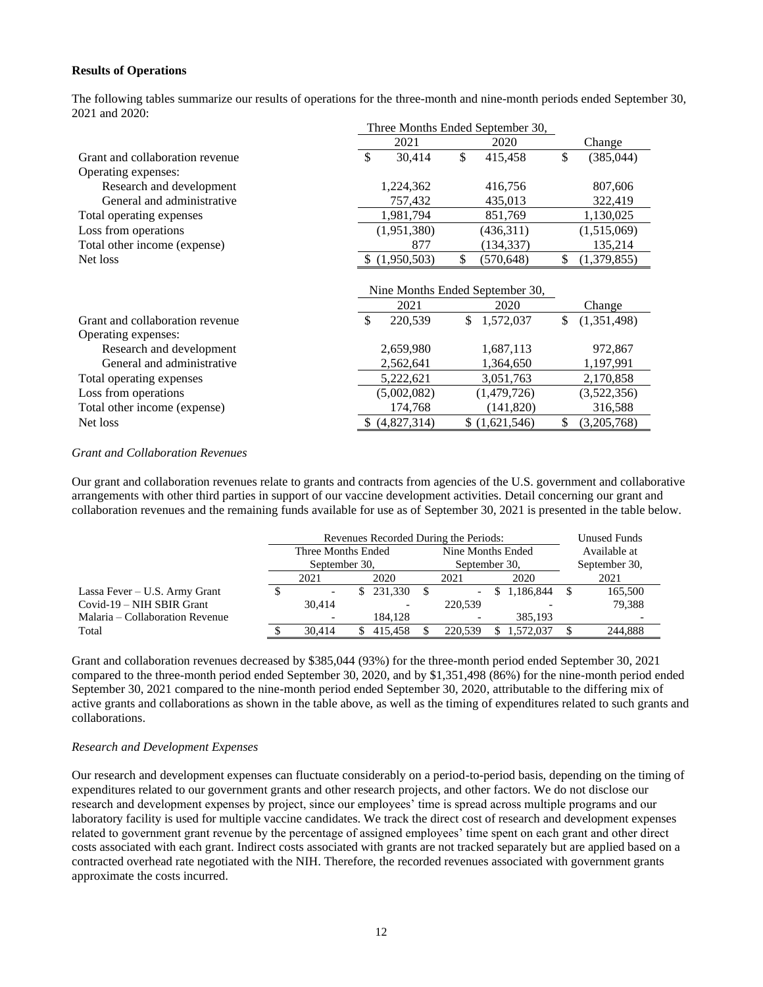#### **Results of Operations**

The following tables summarize our results of operations for the three-month and nine-month periods ended September 30, 2021 and 2020:

|                                 | Three Months Ended September 30, |             |    |                                 |    |             |  |
|---------------------------------|----------------------------------|-------------|----|---------------------------------|----|-------------|--|
|                                 |                                  | 2021        |    | 2020                            |    | Change      |  |
| Grant and collaboration revenue | \$                               | 30,414      | \$ | 415,458                         | \$ | (385,044)   |  |
| Operating expenses:             |                                  |             |    |                                 |    |             |  |
| Research and development        |                                  | 1,224,362   |    | 416,756                         |    | 807,606     |  |
| General and administrative      |                                  | 757,432     |    | 435,013                         |    | 322,419     |  |
| Total operating expenses        |                                  | 1,981,794   |    | 851,769                         |    | 1,130,025   |  |
| Loss from operations            |                                  | (1,951,380) |    | (436,311)                       |    | (1,515,069) |  |
| Total other income (expense)    |                                  | 877         |    | (134, 337)                      |    | 135,214     |  |
| Net loss                        |                                  | (1,950,503) | \$ | (570, 648)                      | \$ | (1,379,855) |  |
|                                 |                                  |             |    |                                 |    |             |  |
|                                 |                                  |             |    | Nine Months Ended September 30, |    |             |  |
|                                 |                                  | 2021        |    | 2020                            |    | Change      |  |
| Grant and collaboration revenue | $\mathcal{S}$                    | 220,539     | \$ | 1,572,037                       | \$ | (1,351,498) |  |
| Operating expenses:             |                                  |             |    |                                 |    |             |  |
| Research and development        |                                  | 2,659,980   |    | 1,687,113                       |    | 972,867     |  |
| General and administrative      |                                  | 2,562,641   |    | 1,364,650                       |    | 1,197,991   |  |
| Total operating expenses        |                                  | 5,222,621   |    | 3,051,763                       |    | 2,170,858   |  |
| Loss from operations            |                                  | (5,002,082) |    | (1,479,726)                     |    | (3,522,356) |  |
| Total other income (expense)    |                                  | 174,768     |    | (141, 820)                      |    | 316,588     |  |
| Net loss                        |                                  | (4,827,314) |    | \$(1,621,546)                   | \$ | (3,205,768) |  |

#### *Grant and Collaboration Revenues*

Our grant and collaboration revenues relate to grants and contracts from agencies of the U.S. government and collaborative arrangements with other third parties in support of our vaccine development activities. Detail concerning our grant and collaboration revenues and the remaining funds available for use as of September 30, 2021 is presented in the table below.

|                                 | Revenues Recorded During the Periods: | Unused Funds |                          |  |                          |      |             |  |               |  |  |
|---------------------------------|---------------------------------------|--------------|--------------------------|--|--------------------------|------|-------------|--|---------------|--|--|
|                                 | Three Months Ended                    |              |                          |  | Nine Months Ended        |      |             |  | Available at  |  |  |
|                                 | September 30.                         |              |                          |  | September 30,            |      |             |  | September 30, |  |  |
|                                 | 2021<br>2020                          |              |                          |  | 2021                     | 2020 |             |  | 2021          |  |  |
| Lassa Fever – U.S. Army Grant   |                                       |              | 231.330                  |  | $\overline{\phantom{a}}$ |      | \$1,186,844 |  | 165,500       |  |  |
| Covid-19 – NIH SBIR Grant       | 30.414                                |              | $\overline{\phantom{a}}$ |  | 220,539                  |      |             |  | 79.388        |  |  |
| Malaria – Collaboration Revenue |                                       |              | 184.128                  |  |                          |      | 385.193     |  |               |  |  |
| Total                           | 30.414                                |              | 415.458                  |  | 220,539                  |      | .572.037    |  | 244.888       |  |  |

Grant and collaboration revenues decreased by \$385,044 (93%) for the three-month period ended September 30, 2021 compared to the three-month period ended September 30, 2020, and by \$1,351,498 (86%) for the nine-month period ended September 30, 2021 compared to the nine-month period ended September 30, 2020, attributable to the differing mix of active grants and collaborations as shown in the table above, as well as the timing of expenditures related to such grants and collaborations.

#### *Research and Development Expenses*

Our research and development expenses can fluctuate considerably on a period-to-period basis, depending on the timing of expenditures related to our government grants and other research projects, and other factors. We do not disclose our research and development expenses by project, since our employees' time is spread across multiple programs and our laboratory facility is used for multiple vaccine candidates. We track the direct cost of research and development expenses related to government grant revenue by the percentage of assigned employees' time spent on each grant and other direct costs associated with each grant. Indirect costs associated with grants are not tracked separately but are applied based on a contracted overhead rate negotiated with the NIH. Therefore, the recorded revenues associated with government grants approximate the costs incurred.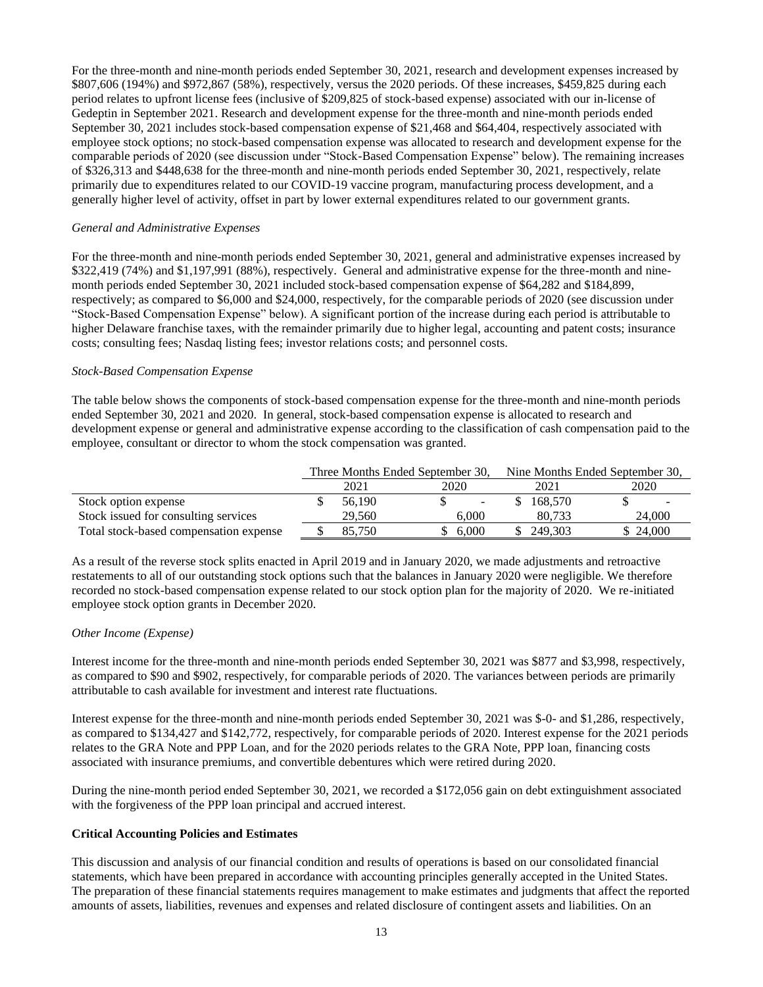For the three-month and nine-month periods ended September 30, 2021, research and development expenses increased by \$807,606 (194%) and \$972,867 (58%), respectively, versus the 2020 periods. Of these increases, \$459,825 during each period relates to upfront license fees (inclusive of \$209,825 of stock-based expense) associated with our in-license of Gedeptin in September 2021. Research and development expense for the three-month and nine-month periods ended September 30, 2021 includes stock-based compensation expense of \$21,468 and \$64,404, respectively associated with employee stock options; no stock-based compensation expense was allocated to research and development expense for the comparable periods of 2020 (see discussion under "Stock-Based Compensation Expense" below). The remaining increases of \$326,313 and \$448,638 for the three-month and nine-month periods ended September 30, 2021, respectively, relate primarily due to expenditures related to our COVID-19 vaccine program, manufacturing process development, and a generally higher level of activity, offset in part by lower external expenditures related to our government grants.

#### *General and Administrative Expenses*

For the three-month and nine-month periods ended September 30, 2021, general and administrative expenses increased by \$322,419 (74%) and \$1,197,991 (88%), respectively. General and administrative expense for the three-month and ninemonth periods ended September 30, 2021 included stock-based compensation expense of \$64,282 and \$184,899, respectively; as compared to \$6,000 and \$24,000, respectively, for the comparable periods of 2020 (see discussion under "Stock-Based Compensation Expense" below). A significant portion of the increase during each period is attributable to higher Delaware franchise taxes, with the remainder primarily due to higher legal, accounting and patent costs; insurance costs; consulting fees; Nasdaq listing fees; investor relations costs; and personnel costs.

#### *Stock-Based Compensation Expense*

The table below shows the components of stock-based compensation expense for the three-month and nine-month periods ended September 30, 2021 and 2020. In general, stock-based compensation expense is allocated to research and development expense or general and administrative expense according to the classification of cash compensation paid to the employee, consultant or director to whom the stock compensation was granted.

|                                        |        | Three Months Ended September 30, | Nine Months Ended September 30, |         |           |  |  |
|----------------------------------------|--------|----------------------------------|---------------------------------|---------|-----------|--|--|
|                                        | 2021   | 2020                             |                                 | 2021    | 2020      |  |  |
| Stock option expense                   | 56.190 | $\overline{\phantom{a}}$         |                                 | 168,570 |           |  |  |
| Stock issued for consulting services   | 29,560 | 6.000                            |                                 | 80.733  | 24,000    |  |  |
| Total stock-based compensation expense | 85.750 | 6.000                            |                                 | 249.303 | \$ 24,000 |  |  |

As a result of the reverse stock splits enacted in April 2019 and in January 2020, we made adjustments and retroactive restatements to all of our outstanding stock options such that the balances in January 2020 were negligible. We therefore recorded no stock-based compensation expense related to our stock option plan for the majority of 2020. We re-initiated employee stock option grants in December 2020.

### *Other Income (Expense)*

Interest income for the three-month and nine-month periods ended September 30, 2021 was \$877 and \$3,998, respectively, as compared to \$90 and \$902, respectively, for comparable periods of 2020. The variances between periods are primarily attributable to cash available for investment and interest rate fluctuations.

Interest expense for the three-month and nine-month periods ended September 30, 2021 was \$-0- and \$1,286, respectively, as compared to \$134,427 and \$142,772, respectively, for comparable periods of 2020. Interest expense for the 2021 periods relates to the GRA Note and PPP Loan, and for the 2020 periods relates to the GRA Note, PPP loan, financing costs associated with insurance premiums, and convertible debentures which were retired during 2020.

During the nine-month period ended September 30, 2021, we recorded a \$172,056 gain on debt extinguishment associated with the forgiveness of the PPP loan principal and accrued interest.

### **Critical Accounting Policies and Estimates**

This discussion and analysis of our financial condition and results of operations is based on our consolidated financial statements, which have been prepared in accordance with accounting principles generally accepted in the United States. The preparation of these financial statements requires management to make estimates and judgments that affect the reported amounts of assets, liabilities, revenues and expenses and related disclosure of contingent assets and liabilities. On an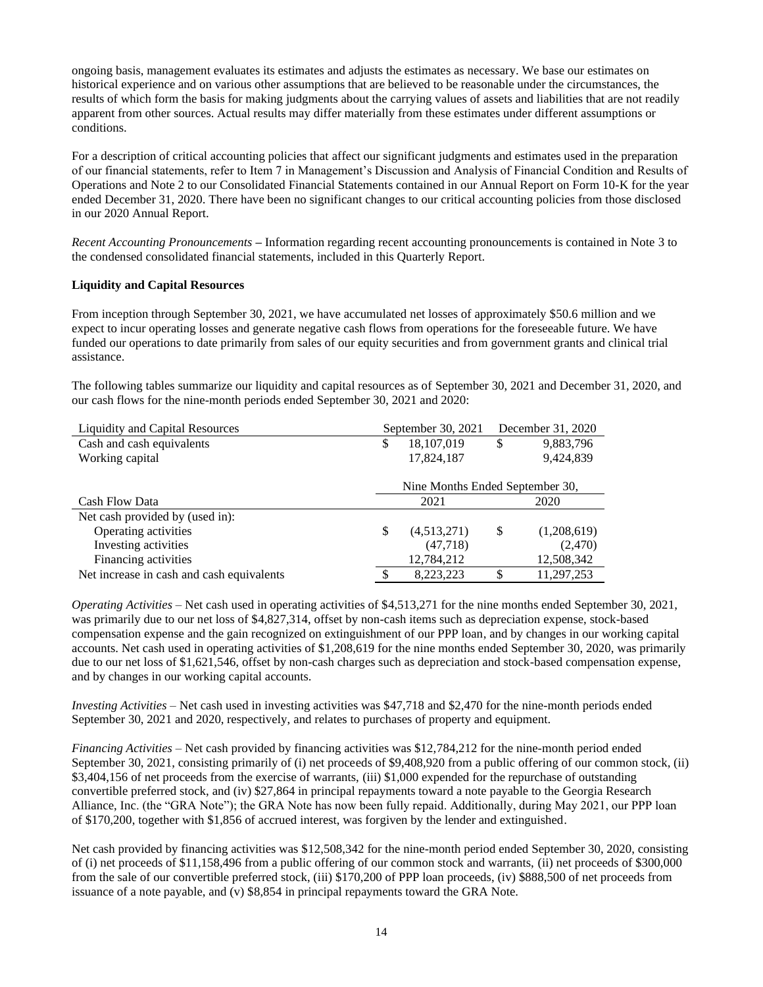ongoing basis, management evaluates its estimates and adjusts the estimates as necessary. We base our estimates on historical experience and on various other assumptions that are believed to be reasonable under the circumstances, the results of which form the basis for making judgments about the carrying values of assets and liabilities that are not readily apparent from other sources. Actual results may differ materially from these estimates under different assumptions or conditions.

For a description of critical accounting policies that affect our significant judgments and estimates used in the preparation of our financial statements, refer to Item 7 in Management's Discussion and Analysis of Financial Condition and Results of Operations and Note 2 to our Consolidated Financial Statements contained in our Annual Report on Form 10-K for the year ended December 31, 2020. There have been no significant changes to our critical accounting policies from those disclosed in our 2020 Annual Report.

*Recent Accounting Pronouncements* **–** Information regarding recent accounting pronouncements is contained in Note 3 to the condensed consolidated financial statements, included in this Quarterly Report.

### **Liquidity and Capital Resources**

From inception through September 30, 2021, we have accumulated net losses of approximately \$50.6 million and we expect to incur operating losses and generate negative cash flows from operations for the foreseeable future. We have funded our operations to date primarily from sales of our equity securities and from government grants and clinical trial assistance.

The following tables summarize our liquidity and capital resources as of September 30, 2021 and December 31, 2020, and our cash flows for the nine-month periods ended September 30, 2021 and 2020:

|                                 |             |                    | December 31, 2020 |
|---------------------------------|-------------|--------------------|-------------------|
| \$                              | 18,107,019  | \$                 | 9,883,796         |
|                                 | 17,824,187  |                    | 9,424,839         |
|                                 |             |                    |                   |
| Nine Months Ended September 30, |             |                    |                   |
|                                 | 2021        |                    | 2020              |
|                                 |             |                    |                   |
| \$                              | (4,513,271) | \$                 | (1,208,619)       |
|                                 | (47, 718)   |                    | (2,470)           |
|                                 | 12,784,212  |                    | 12,508,342        |
|                                 | 8,223,223   | \$                 | 11,297,253        |
|                                 |             | September 30, 2021 |                   |

*Operating Activities* – Net cash used in operating activities of \$4,513,271 for the nine months ended September 30, 2021, was primarily due to our net loss of \$4,827,314, offset by non-cash items such as depreciation expense, stock-based compensation expense and the gain recognized on extinguishment of our PPP loan, and by changes in our working capital accounts. Net cash used in operating activities of \$1,208,619 for the nine months ended September 30, 2020, was primarily due to our net loss of \$1,621,546, offset by non-cash charges such as depreciation and stock-based compensation expense, and by changes in our working capital accounts.

*Investing Activities* – Net cash used in investing activities was \$47,718 and \$2,470 for the nine-month periods ended September 30, 2021 and 2020, respectively, and relates to purchases of property and equipment.

*Financing Activities* – Net cash provided by financing activities was \$12,784,212 for the nine-month period ended September 30, 2021, consisting primarily of (i) net proceeds of \$9,408,920 from a public offering of our common stock, (ii) \$3,404,156 of net proceeds from the exercise of warrants, (iii) \$1,000 expended for the repurchase of outstanding convertible preferred stock, and (iv) \$27,864 in principal repayments toward a note payable to the Georgia Research Alliance, Inc. (the "GRA Note"); the GRA Note has now been fully repaid. Additionally, during May 2021, our PPP loan of \$170,200, together with \$1,856 of accrued interest, was forgiven by the lender and extinguished.

Net cash provided by financing activities was \$12,508,342 for the nine-month period ended September 30, 2020, consisting of (i) net proceeds of \$11,158,496 from a public offering of our common stock and warrants, (ii) net proceeds of \$300,000 from the sale of our convertible preferred stock, (iii) \$170,200 of PPP loan proceeds, (iv) \$888,500 of net proceeds from issuance of a note payable, and (v) \$8,854 in principal repayments toward the GRA Note.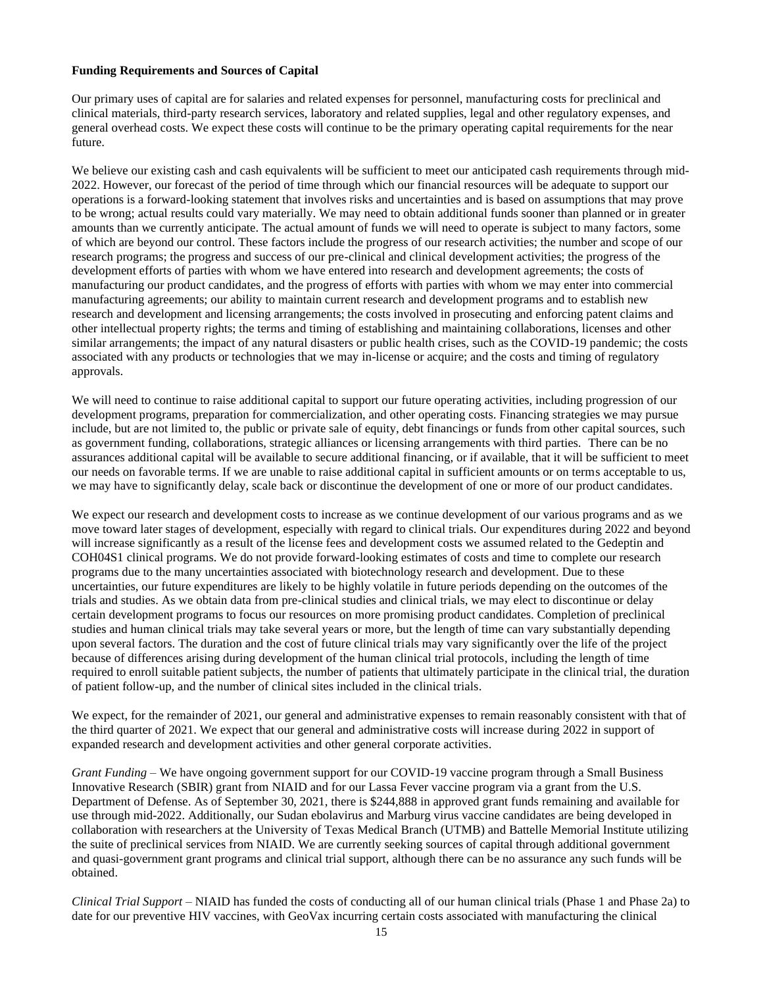#### **Funding Requirements and Sources of Capital**

Our primary uses of capital are for salaries and related expenses for personnel, manufacturing costs for preclinical and clinical materials, third-party research services, laboratory and related supplies, legal and other regulatory expenses, and general overhead costs. We expect these costs will continue to be the primary operating capital requirements for the near future.

We believe our existing cash and cash equivalents will be sufficient to meet our anticipated cash requirements through mid-2022. However, our forecast of the period of time through which our financial resources will be adequate to support our operations is a forward-looking statement that involves risks and uncertainties and is based on assumptions that may prove to be wrong; actual results could vary materially. We may need to obtain additional funds sooner than planned or in greater amounts than we currently anticipate. The actual amount of funds we will need to operate is subject to many factors, some of which are beyond our control. These factors include the progress of our research activities; the number and scope of our research programs; the progress and success of our pre-clinical and clinical development activities; the progress of the development efforts of parties with whom we have entered into research and development agreements; the costs of manufacturing our product candidates, and the progress of efforts with parties with whom we may enter into commercial manufacturing agreements; our ability to maintain current research and development programs and to establish new research and development and licensing arrangements; the costs involved in prosecuting and enforcing patent claims and other intellectual property rights; the terms and timing of establishing and maintaining collaborations, licenses and other similar arrangements; the impact of any natural disasters or public health crises, such as the COVID-19 pandemic; the costs associated with any products or technologies that we may in-license or acquire; and the costs and timing of regulatory approvals.

We will need to continue to raise additional capital to support our future operating activities, including progression of our development programs, preparation for commercialization, and other operating costs. Financing strategies we may pursue include, but are not limited to, the public or private sale of equity, debt financings or funds from other capital sources, such as government funding, collaborations, strategic alliances or licensing arrangements with third parties. There can be no assurances additional capital will be available to secure additional financing, or if available, that it will be sufficient to meet our needs on favorable terms. If we are unable to raise additional capital in sufficient amounts or on terms acceptable to us, we may have to significantly delay, scale back or discontinue the development of one or more of our product candidates.

We expect our research and development costs to increase as we continue development of our various programs and as we move toward later stages of development, especially with regard to clinical trials. Our expenditures during 2022 and beyond will increase significantly as a result of the license fees and development costs we assumed related to the Gedeptin and COH04S1 clinical programs. We do not provide forward-looking estimates of costs and time to complete our research programs due to the many uncertainties associated with biotechnology research and development. Due to these uncertainties, our future expenditures are likely to be highly volatile in future periods depending on the outcomes of the trials and studies. As we obtain data from pre-clinical studies and clinical trials, we may elect to discontinue or delay certain development programs to focus our resources on more promising product candidates. Completion of preclinical studies and human clinical trials may take several years or more, but the length of time can vary substantially depending upon several factors. The duration and the cost of future clinical trials may vary significantly over the life of the project because of differences arising during development of the human clinical trial protocols, including the length of time required to enroll suitable patient subjects, the number of patients that ultimately participate in the clinical trial, the duration of patient follow-up, and the number of clinical sites included in the clinical trials.

We expect, for the remainder of 2021, our general and administrative expenses to remain reasonably consistent with that of the third quarter of 2021. We expect that our general and administrative costs will increase during 2022 in support of expanded research and development activities and other general corporate activities.

*Grant Funding* – We have ongoing government support for our COVID-19 vaccine program through a Small Business Innovative Research (SBIR) grant from NIAID and for our Lassa Fever vaccine program via a grant from the U.S. Department of Defense. As of September 30, 2021, there is \$244,888 in approved grant funds remaining and available for use through mid-2022. Additionally, our Sudan ebolavirus and Marburg virus vaccine candidates are being developed in collaboration with researchers at the University of Texas Medical Branch (UTMB) and Battelle Memorial Institute utilizing the suite of preclinical services from NIAID. We are currently seeking sources of capital through additional government and quasi-government grant programs and clinical trial support, although there can be no assurance any such funds will be obtained.

*Clinical Trial Support* – NIAID has funded the costs of conducting all of our human clinical trials (Phase 1 and Phase 2a) to date for our preventive HIV vaccines, with GeoVax incurring certain costs associated with manufacturing the clinical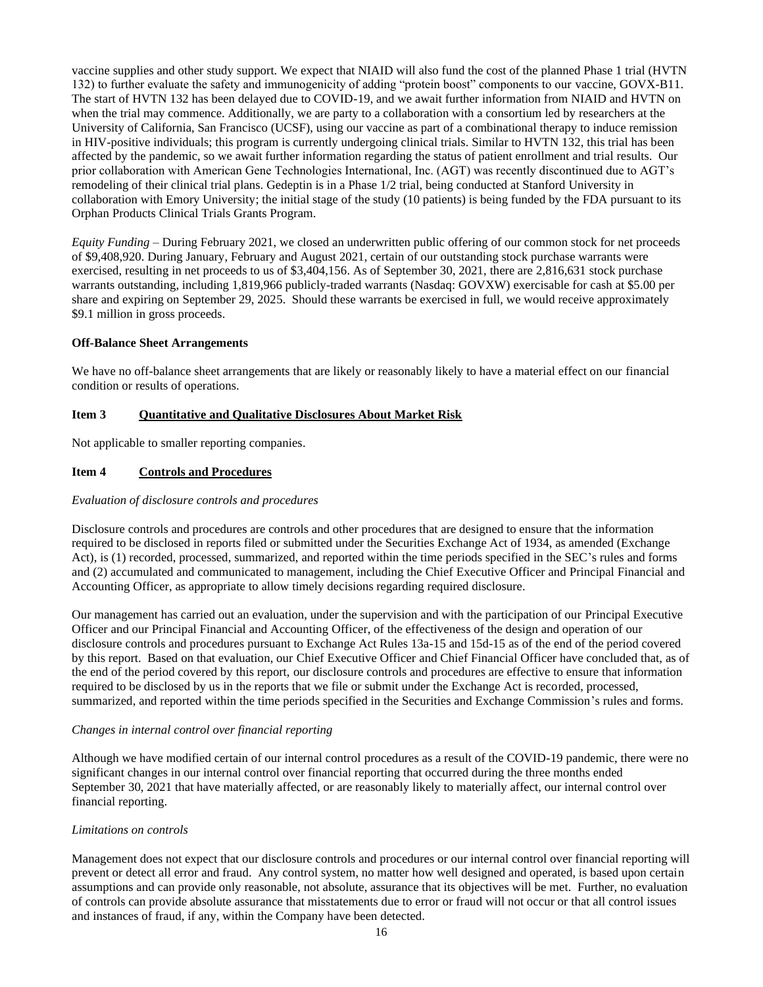vaccine supplies and other study support. We expect that NIAID will also fund the cost of the planned Phase 1 trial (HVTN 132) to further evaluate the safety and immunogenicity of adding "protein boost" components to our vaccine, GOVX-B11. The start of HVTN 132 has been delayed due to COVID-19, and we await further information from NIAID and HVTN on when the trial may commence. Additionally, we are party to a collaboration with a consortium led by researchers at the University of California, San Francisco (UCSF), using our vaccine as part of a combinational therapy to induce remission in HIV-positive individuals; this program is currently undergoing clinical trials. Similar to HVTN 132, this trial has been affected by the pandemic, so we await further information regarding the status of patient enrollment and trial results. Our prior collaboration with American Gene Technologies International, Inc. (AGT) was recently discontinued due to AGT's remodeling of their clinical trial plans. Gedeptin is in a Phase 1/2 trial, being conducted at Stanford University in collaboration with Emory University; the initial stage of the study (10 patients) is being funded by the FDA pursuant to its Orphan Products Clinical Trials Grants Program.

*Equity Funding* – During February 2021, we closed an underwritten public offering of our common stock for net proceeds of \$9,408,920. During January, February and August 2021, certain of our outstanding stock purchase warrants were exercised, resulting in net proceeds to us of \$3,404,156. As of September 30, 2021, there are 2,816,631 stock purchase warrants outstanding, including 1,819,966 publicly-traded warrants (Nasdaq: GOVXW) exercisable for cash at \$5.00 per share and expiring on September 29, 2025. Should these warrants be exercised in full, we would receive approximately \$9.1 million in gross proceeds.

#### **Off-Balance Sheet Arrangements**

We have no off-balance sheet arrangements that are likely or reasonably likely to have a material effect on our financial condition or results of operations.

#### **Item 3 Quantitative and Qualitative Disclosures About Market Risk**

Not applicable to smaller reporting companies.

#### **Item 4 Controls and Procedures**

#### *Evaluation of disclosure controls and procedures*

Disclosure controls and procedures are controls and other procedures that are designed to ensure that the information required to be disclosed in reports filed or submitted under the Securities Exchange Act of 1934, as amended (Exchange Act), is (1) recorded, processed, summarized, and reported within the time periods specified in the SEC's rules and forms and (2) accumulated and communicated to management, including the Chief Executive Officer and Principal Financial and Accounting Officer, as appropriate to allow timely decisions regarding required disclosure.

Our management has carried out an evaluation, under the supervision and with the participation of our Principal Executive Officer and our Principal Financial and Accounting Officer, of the effectiveness of the design and operation of our disclosure controls and procedures pursuant to Exchange Act Rules 13a-15 and 15d-15 as of the end of the period covered by this report. Based on that evaluation, our Chief Executive Officer and Chief Financial Officer have concluded that, as of the end of the period covered by this report, our disclosure controls and procedures are effective to ensure that information required to be disclosed by us in the reports that we file or submit under the Exchange Act is recorded, processed, summarized, and reported within the time periods specified in the Securities and Exchange Commission's rules and forms.

#### *Changes in internal control over financial reporting*

Although we have modified certain of our internal control procedures as a result of the COVID-19 pandemic, there were no significant changes in our internal control over financial reporting that occurred during the three months ended September 30, 2021 that have materially affected, or are reasonably likely to materially affect, our internal control over financial reporting.

#### *Limitations on controls*

Management does not expect that our disclosure controls and procedures or our internal control over financial reporting will prevent or detect all error and fraud. Any control system, no matter how well designed and operated, is based upon certain assumptions and can provide only reasonable, not absolute, assurance that its objectives will be met. Further, no evaluation of controls can provide absolute assurance that misstatements due to error or fraud will not occur or that all control issues and instances of fraud, if any, within the Company have been detected.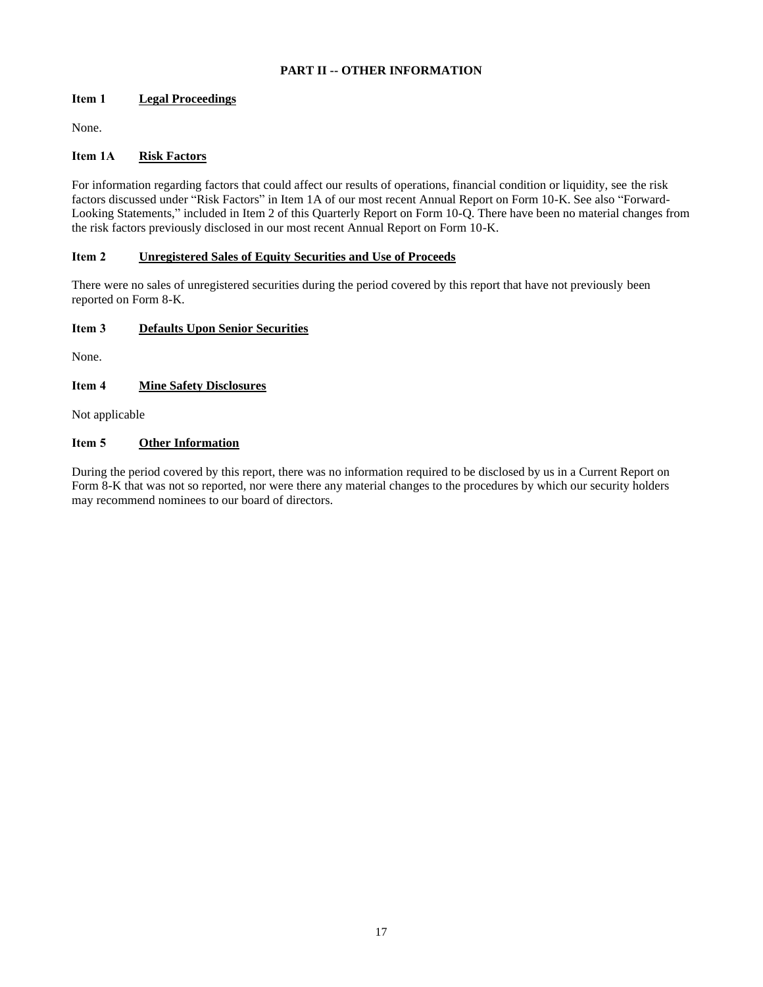## **PART II -- OTHER INFORMATION**

# **Item 1 Legal Proceedings**

None.

# **Item 1A Risk Factors**

For information regarding factors that could affect our results of operations, financial condition or liquidity, see the risk factors discussed under "Risk Factors" in Item 1A of our most recent Annual Report on Form 10-K. See also "Forward-Looking Statements," included in Item 2 of this Quarterly Report on Form 10-Q. There have been no material changes from the risk factors previously disclosed in our most recent Annual Report on Form 10-K.

## **Item 2 Unregistered Sales of Equity Securities and Use of Proceeds**

There were no sales of unregistered securities during the period covered by this report that have not previously been reported on Form 8-K.

# **Item 3 Defaults Upon Senior Securities**

None.

# **Item 4 Mine Safety Disclosures**

Not applicable

## **Item 5 Other Information**

During the period covered by this report, there was no information required to be disclosed by us in a Current Report on Form 8-K that was not so reported, nor were there any material changes to the procedures by which our security holders may recommend nominees to our board of directors.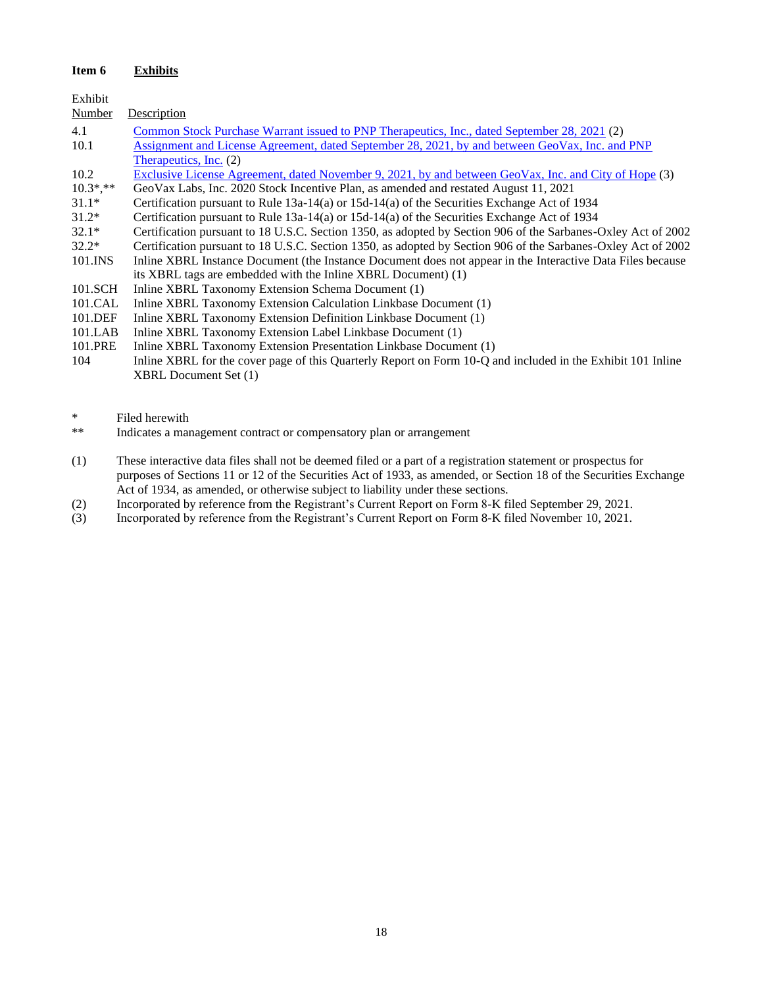# **Item 6 Exhibits**

| Exhibit     |                                                                                                               |
|-------------|---------------------------------------------------------------------------------------------------------------|
| Number      | Description                                                                                                   |
| 4.1         | <u>Common Stock Purchase Warrant issued to PNP Therapeutics, Inc., dated September 28, 2021</u> (2)           |
| 10.1        | <u>Assignment and License Agreement, dated September 28, 2021, by and between GeoVax, Inc. and PNP</u>        |
|             | Therapeutics, Inc. (2)                                                                                        |
| 10.2        | Exclusive License Agreement, dated November 9, 2021, by and between GeoVax, Inc. and City of Hope (3)         |
| $10.3$ *,** | GeoVax Labs, Inc. 2020 Stock Incentive Plan, as amended and restated August 11, 2021                          |
| $31.1*$     | Certification pursuant to Rule $13a-14(a)$ or $15d-14(a)$ of the Securities Exchange Act of 1934              |
| $31.2*$     | Certification pursuant to Rule 13a-14(a) or 15d-14(a) of the Securities Exchange Act of 1934                  |
| $32.1*$     | Certification pursuant to 18 U.S.C. Section 1350, as adopted by Section 906 of the Sarbanes-Oxley Act of 2002 |
| $32.2*$     | Certification pursuant to 18 U.S.C. Section 1350, as adopted by Section 906 of the Sarbanes-Oxley Act of 2002 |
| 101.INS     | Inline XBRL Instance Document (the Instance Document does not appear in the Interactive Data Files because    |
|             | its XBRL tags are embedded with the Inline XBRL Document) (1)                                                 |
| 101.SCH     | Inline XBRL Taxonomy Extension Schema Document (1)                                                            |
| 101.CAL     | Inline XBRL Taxonomy Extension Calculation Linkbase Document (1)                                              |
| 101.DEF     | Inline XBRL Taxonomy Extension Definition Linkbase Document (1)                                               |
| 101.LAB     | Inline XBRL Taxonomy Extension Label Linkbase Document (1)                                                    |
| 101.PRE     | Inline XBRL Taxonomy Extension Presentation Linkbase Document (1)                                             |
| 104         | Inline XBRL for the cover page of this Quarterly Report on Form 10-Q and included in the Exhibit 101 Inline   |

\* Filed herewith<br>\*\* Indicates a mar

XBRL Document Set (1)

- Indicates a management contract or compensatory plan or arrangement
- (1) These interactive data files shall not be deemed filed or a part of a registration statement or prospectus for purposes of Sections 11 or 12 of the Securities Act of 1933, as amended, or Section 18 of the Securities Exchange Act of 1934, as amended, or otherwise subject to liability under these sections.
- (2) Incorporated by reference from the Registrant's Current Report on Form 8-K filed September 29, 2021.<br>
(3) Incorporated by reference from the Registrant's Current Report on Form 8-K filed November 10, 2021.
- Incorporated by reference from the Registrant's Current Report on Form 8-K filed November 10, 2021.